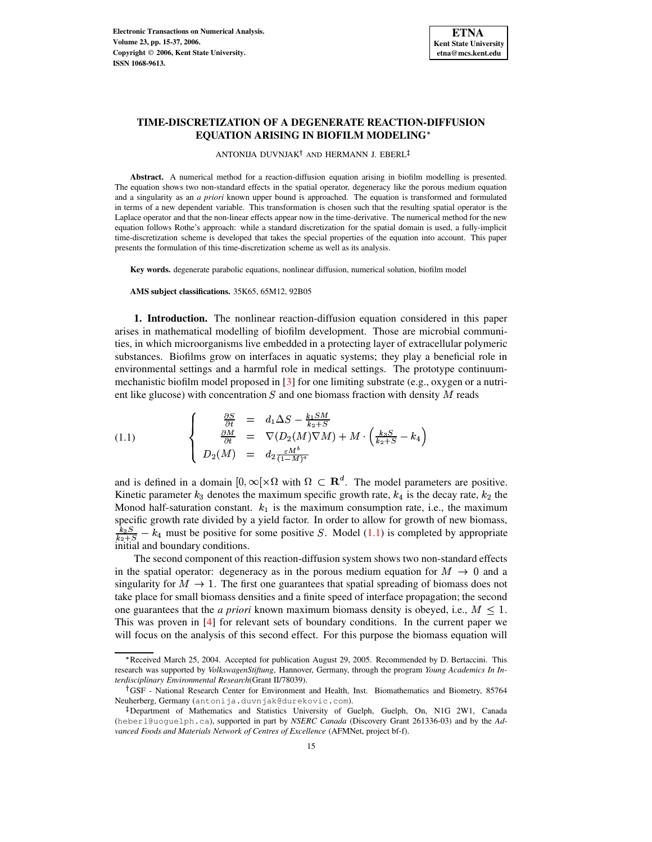

# **TIME-DISCRETIZATION OF A DEGENERATE REACTION-DIFFUSION EQUATION ARISING IN BIOFILM MODELING**

ANTONIJA DUVNJAK $^\dagger$  and HERMANN J. EBERL

**Abstract.** A numerical method for a reaction-diffusion equation arising in biofilm modelling is presented. The equation shows two non-standard effects in the spatial operator, degeneracy like the porous medium equation and a singularity as an *a priori* known upper bound is approached. The equation is transformed and formulated in terms of a new dependent variable. This transformation is chosen such that the resulting spatial operator is the Laplace operator and that the non-linear effects appear now in the time-derivative. The numerical method for the new equation follows Rothe's approach: while a standard discretization for the spatial domain is used, a fully-implicit time-discretization scheme is developed that takes the special properties of the equation into account. This paper presents the formulation of this time-discretization scheme as well as its analysis.

**Key words.** degenerate parabolic equations, nonlinear diffusion, numerical solution, biofilm model

**AMS subject classifications.** 35K65, 65M12, 92B05

**1. Introduction.** The nonlinear reaction-diffusion equation considered in this paper arises in mathematical modelling of biofilm development. Those are microbial communities, in which microorganisms live embedded in a protecting layer of extracellular polymeric substances. Biofilms grow on interfaces in aquatic systems; they play a beneficial role in environmental settings and a harmful role in medical settings. The prototype continuummechanistic biofilm model proposed in [\[3\]](#page-22-0) for one limiting substrate (e.g., oxygen or a nutrient like glucose) with concentration  $S$  and one biomass fraction with density  $M$  reads

<span id="page-0-0"></span>(1.1) 
$$
\begin{cases}\n\frac{\partial S}{\partial t} = d_1 \Delta S - \frac{k_1 SM}{k_2 + S} \\
\frac{\partial M}{\partial t} = \nabla (D_2(M) \nabla M) + M \cdot \left( \frac{k_3 S}{k_2 + S} - k_4 \right) \\
D_2(M) = d_2 \frac{\varepsilon M^b}{(1 - M)^a}\n\end{cases}
$$

and is defined in a domain  $[0,\infty[\times\Omega]$  with  $\Omega\subset\mathbf{R}^d$ . The model parameters are positive. Kinetic parameter  $k_3$  denotes the maximum specific growth rate,  $k_4$  is the decay rate,  $k_2$  the Monod half-saturation constant.  $k_1$  is the maximum consumption rate, i.e., the maximum specific growth rate divided by a yield factor. In order to allow for growth of new biomass,  $\frac{k_3 S}{k_3 - S} - k_4$  must be positive for some positive S. Model [\(1.1\)](#page-0-0) is completed by appropriate initial and boundary conditions.

The second component of this reaction-diffusion system shows two non-standard effects in the spatial operator: degeneracy as in the porous medium equation for  $M \rightarrow 0$  and a singularity for  $M \to 1$ . The first one guarantees that spatial spreading of biomass does not take place for small biomass densities and a finite speed of interface propagation; the second one guarantees that the *a priori* known maximum biomass density is obeyed, i.e.,  $M \leq 1$ . This was proven in [\[4\]](#page-22-1) for relevant sets of boundary conditions. In the current paper we will focus on the analysis of this second effect. For this purpose the biomass equation will

<sup>\*</sup> Received March 25, 2004. Accepted for publication August 29, 2005. Recommended by D. Bertaccini. This research was supported by *VolkswagenStiftung*, Hannover, Germany, through the program *Young Academics In Interdisciplinary Environmental Research*(Grant II/78039).

GSF - National Research Center for Environment and Health, Inst. Biomathematics and Biometry, 85764 Neuherberg, Germany (antonija.duvnjak@durekovic.com).

<sup>-</sup> Department of Mathematics and Statistics University of Guelph, Guelph, On, N1G 2W1, Canada (heberl@uoguelph.ca), supported in part by *NSERC Canada* (Discovery Grant 261336-03) and by the *Advanced Foods and Materials Network of Centres of Excellence* (AFMNet, project bf-f).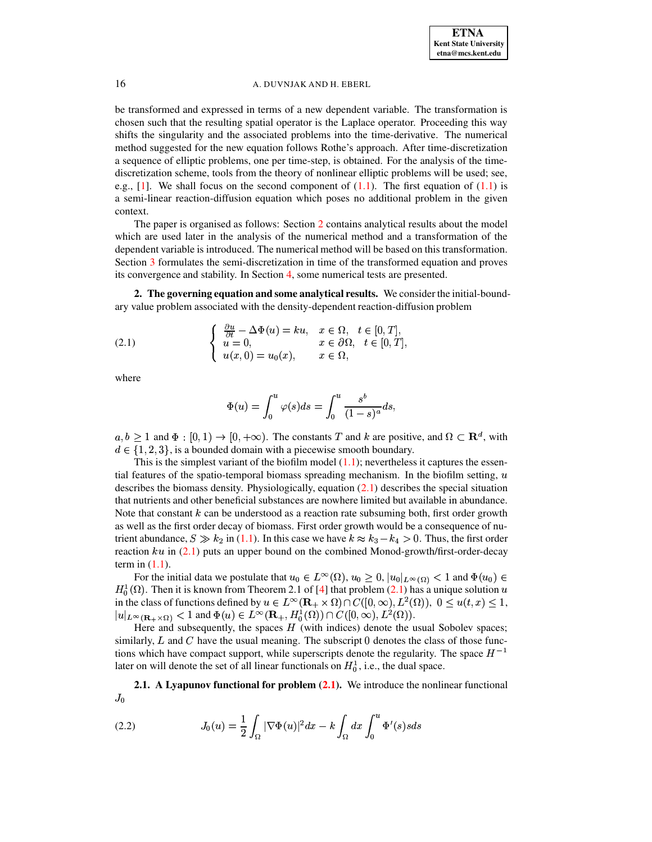be transformed and expressed in terms of a new dependent variable. The transformation is chosen such that the resulting spatial operator is the Laplace operator. Proceeding this way shifts the singularity and the associated problems into the time-derivative. The numerical method suggested for the new equation follows Rothe's approach. After time-discretization a sequence of elliptic problems, one per time-step, is obtained. For the analysis of the timediscretization scheme, tools from the theory of nonlinear elliptic problems will be used; see, e.g.,  $[1]$ . We shall focus on the second component of  $(1.1)$ . The first equation of  $(1.1)$  is a semi-linear reaction-diffusion equation which poses no additional problem in the given context.

The paper is organised as follows: Section [2](#page-1-0) contains analytical results about the model which are used later in the analysis of the numerical method and a transformation of the dependent variable is introduced. The numerical method will be based on this transformation. Section [3](#page-6-0) formulates the semi-discretization in time of the transformed equation and proves its convergence and stability. In Section [4,](#page-13-0) some numerical tests are presented.

<span id="page-1-0"></span>**2. The governing equation and some analytical results.** We consider the initial-boundary value problem associated with the density-dependent reaction-diffusion problem

<span id="page-1-1"></span>(2.1) 
$$
\begin{cases} \frac{\partial u}{\partial t} - \Delta \Phi(u) = ku, & x \in \Omega, \quad t \in [0, T], \\ u = 0, & x \in \partial \Omega, \quad t \in [0, T], \\ u(x, 0) = u_0(x), & x \in \Omega, \end{cases}
$$

where

$$
\Phi(u)=\int_0^u\varphi(s)ds=\int_0^u\frac{s^b}{(1-s)^a}ds,
$$

 $a, b \ge 1$  and  $\Phi : [0, 1) \to [0, +\infty)$ . The constants T and k are positive, and  $\Omega \subset \mathbf{R}^d$ , with  $d \in \{1, 2, 3\}$ , is a bounded domain with a piecewise smooth boundary.

This is the simplest variant of the biofilm model  $(1.1)$ ; nevertheless it captures the essential features of the spatio-temporal biomass spreading mechanism. In the biofilm setting,  $u$ describes the biomass density. Physiologically, equation  $(2.1)$  describes the special situation that nutrients and other beneficial substances are nowhere limited but available in abundance. Note that constant  $k$  can be understood as a reaction rate subsuming both, first order growth as well as the first order decay of biomass. First order growth would be a consequence of nutrient abundance,  $S \gg k_2$  in [\(1.1\)](#page-0-0). In this case we have  $k \approx k_3 - k_4 > 0$ . Thus, the first order reaction  $ku$  in [\(2.1\)](#page-1-1) puts an upper bound on the combined Monod-growth/first-order-decay term in  $(1.1)$ .

For the initial data we postulate that  $u_0 \in L^{\infty}(\Omega)$ ,  $u_0 \ge 0$ ,  $|u_0|_{L^{\infty}(\Omega)} < 1$  and  $\Phi(u_0) \in$  $H_0^1(\Omega)$ . Then it is known from Theorem 2.1 of [\[4\]](#page-22-1) that problem [\(2.1\)](#page-1-1) has a unique solution u in the class of functions defined by  $u \in L^{\infty}(\mathbf{R}_{+} \times \Omega) \cap C([0,\infty), L^{2}(\Omega))$ ,  $0 \leq u(t,x) \leq 1$ ,  $|u|_{L^{\infty}(\mathbf{R}_+\times\Omega)} < 1$  and  $\Phi(u) \in L^{\infty}(\mathbf{R}_+, H^1_0(\Omega)) \cap C([0,\infty), L^2(\Omega)).$ 

Here and subsequently, the spaces  $H$  (with indices) denote the usual Sobolev spaces; similarly,  $L$  and  $C$  have the usual meaning. The subscript  $\theta$  denotes the class of those functions which have compact support, while superscripts denote the regularity. The space  $H^{-1}$ later on will denote the set of all linear functionals on  $H_0^1$ , i.e., the dual space.

**2.1. A Lyapunov functional for problem [\(2.1\)](#page-1-1).** We introduce the nonlinear functional  $J_0$ 

<span id="page-1-2"></span>(2.2) 
$$
J_0(u) = \frac{1}{2} \int_{\Omega} |\nabla \Phi(u)|^2 dx - k \int_{\Omega} dx \int_0^u \Phi'(s) s ds
$$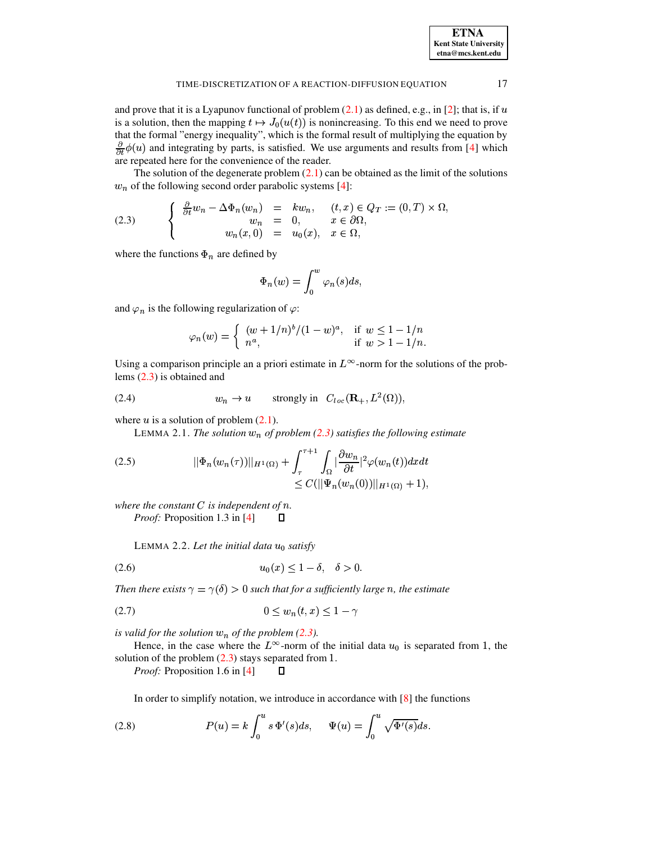| <b>ETNA</b>                  |
|------------------------------|
| <b>Kent State University</b> |
| etna@mcs.kent.edu            |

17

#### TIME-DISCRETIZATION OF A REACTION-DIFFUSION EQUATION

and prove that it is a Lyapunov functional of problem  $(2.1)$  as defined, e.g., in [2]; that is, if u is a solution, then the mapping  $t \mapsto J_0(u(t))$  is nonincreasing. To this end we need to prove that the formal "energy inequality", which is the formal result of multiplying the equation by  $\frac{\partial}{\partial t}\phi(u)$  and integrating by parts, is satisfied. We use arguments and results from [4] which are repeated here for the convenience of the reader.

The solution of the degenerate problem  $(2.1)$  can be obtained as the limit of the solutions  $w_n$  of the following second order parabolic systems [4]:

<span id="page-2-0"></span>(2.3) 
$$
\begin{cases} \frac{\partial}{\partial t} w_n - \Delta \Phi_n(w_n) = kw_n, & (t, x) \in Q_T := (0, T) \times \Omega, \\ w_n = 0, & x \in \partial \Omega, \\ w_n(x, 0) = u_0(x), & x \in \Omega, \end{cases}
$$

where the functions  $\Phi_n$  are defined by

$$
\Phi_n(w) = \int_0^w \varphi_n(s) ds,
$$

and  $\varphi_n$  is the following regularization of  $\varphi$ :

$$
\varphi_n(w) = \begin{cases} (w+1/n)^b/(1-w)^a, & \text{if } w \le 1-1/n \\ n^a, & \text{if } w > 1-1/n. \end{cases}
$$

Using a comparison principle an a priori estimate in  $L^{\infty}$ -norm for the solutions of the problems  $(2.3)$  is obtained and

<span id="page-2-3"></span>(2.4) 
$$
w_n \to u \quad \text{strongly in } C_{loc}(\mathbf{R}_+, L^2(\Omega)),
$$

where  $u$  is a solution of problem  $(2.1)$ .

LEMMA 2.1. The solution  $w_n$  of problem (2.3) satisfies the following estimate

<span id="page-2-2"></span>(2.5) 
$$
||\Phi_n(w_n(\tau))||_{H^1(\Omega)} + \int_{\tau}^{\tau+1} \int_{\Omega} |\frac{\partial w_n}{\partial t}|^2 \varphi(w_n(t)) dx dt \leq C(||\Psi_n(w_n(0))||_{H^1(\Omega)} + 1),
$$

where the constant  $C$  is independent of  $n$ . *Proof:* Proposition 1.3 in [4]  $\Box$ 

<span id="page-2-1"></span>LEMMA 2.2. Let the initial data  $u_0$  satisfy

$$
(2.6) \t\t u_0(x) \le 1 - \delta, \quad \delta > 0.
$$

Then there exists  $\gamma = \gamma(\delta) > 0$  such that for a sufficiently large n, the estimate

$$
(2.7) \t\t\t 0 \le w_n(t,x) \le 1 - \gamma
$$

is valid for the solution  $w_n$  of the problem (2.3).

Hence, in the case where the  $L^{\infty}$ -norm of the initial data  $u_0$  is separated from 1, the solution of the problem  $(2.3)$  stays separated from 1.

*Proof:* Proposition 1.6 in [4]  $\Box$ 

In order to simplify notation, we introduce in accordance with  $[8]$  the functions

(2.8) 
$$
P(u) = k \int_0^u s \, \Phi'(s) ds, \quad \Psi(u) = \int_0^u \sqrt{\Phi'(s)} ds.
$$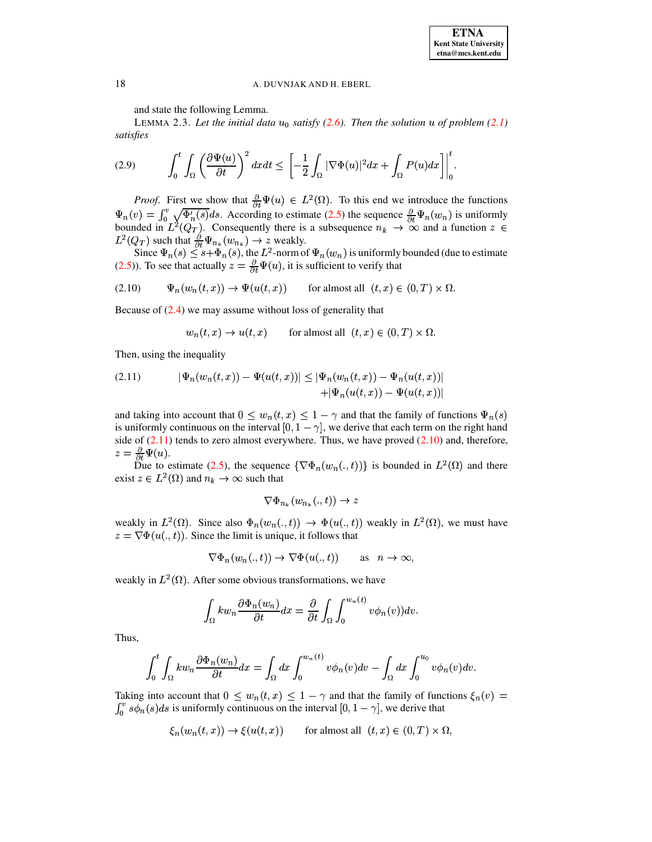and state the following Lemma.

<span id="page-3-3"></span>LEMMA 2.3. Let the initial data  $u_0$  satisfy (2.6). Then the solution u of problem (2.1) satisfies

<span id="page-3-2"></span>
$$
(2.9) \qquad \int_0^t \int_{\Omega} \left( \frac{\partial \Psi(u)}{\partial t} \right)^2 dx dt \leq \left[ -\frac{1}{2} \int_{\Omega} |\nabla \Phi(u)|^2 dx + \int_{\Omega} P(u) dx \right] \bigg|_0^t.
$$

*Proof.* First we show that  $\frac{\partial}{\partial t} \Psi(u) \in L^2(\Omega)$ . To this end we introduce the functions  $\Psi_n(v) = \int_0^v \sqrt{\Phi_n'(s)} ds$ . According to estimate (2.5) the sequence  $\frac{\partial}{\partial t} \Psi_n(w_n)$  is uniformly bounded in  $L^2(Q_T)$ . Consequently there is a subsequence  $n_k \to \infty$  and a function  $z \in$  $L^2(Q_T)$  such that  $\frac{\partial}{\partial t} \Psi_{n_k}(w_{n_k}) \to z$  weakly.

Since  $\Psi_n(s) \leq s + \Phi_n(s)$ , the  $L^2$ -norm of  $\Psi_n(w_n)$  is uniformly bounded (due to estimate (2.5)). To see that actually  $z = \frac{\partial}{\partial t} \Psi(u)$ , it is sufficient to verify that

<span id="page-3-1"></span>
$$
(2.10) \t\t \Psi_n(w_n(t,x)) \to \Psi(u(t,x)) \t\t \text{for almost all } (t,x) \in (0,T) \times \Omega.
$$

Because of  $(2.4)$  we may assume without loss of generality that

$$
w_n(t, x) \to u(t, x)
$$
 for almost all  $(t, x) \in (0, T) \times \Omega$ .

Then, using the inequality

<span id="page-3-0"></span>(2.11) 
$$
|\Psi_n(w_n(t,x)) - \Psi(u(t,x))| \leq |\Psi_n(w_n(t,x)) - \Psi_n(u(t,x))|
$$

$$
+ |\Psi_n(u(t,x)) - \Psi(u(t,x))|
$$

and taking into account that  $0 \leq w_n(t,x) \leq 1 - \gamma$  and that the family of functions  $\Psi_n(s)$ is uniformly continuous on the interval  $[0, 1 - \gamma]$ , we derive that each term on the right hand side of  $(2.11)$  tends to zero almost everywhere. Thus, we have proved  $(2.10)$  and, therefore,  $z=\frac{\partial}{\partial t}\Psi(u).$ 

Due to estimate (2.5), the sequence  $\{\nabla \Phi_n(w_n(.,t))\}$  is bounded in  $L^2(\Omega)$  and there exist  $z \in L^2(\Omega)$  and  $n_k \to \infty$  such that

$$
\nabla \Phi_{n_k}(w_{n_k}(.,t)) \to z
$$

weakly in  $L^2(\Omega)$ . Since also  $\Phi_n(w_n(.,t)) \to \Phi(u(.,t))$  weakly in  $L^2(\Omega)$ , we must have  $z = \nabla \Phi(u(., t)).$  Since the limit is unique, it follows that

$$
\nabla \Phi_n(w_n(.,t)) \to \nabla \Phi(u(.,t)) \quad \text{as} \quad n \to \infty,
$$

weakly in  $L^2(\Omega)$ . After some obvious transformations, we have

$$
\int_{\Omega} k w_n \frac{\partial \Phi_n(w_n)}{\partial t} dx = \frac{\partial}{\partial t} \int_{\Omega} \int_0^{w_n(t)} v \phi_n(v) dv.
$$

Thus,

$$
\int_0^t \int_{\Omega} k w_n \frac{\partial \Phi_n(w_n)}{\partial t} dx = \int_{\Omega} dx \int_0^{w_n(t)} v \phi_n(v) dv - \int_{\Omega} dx \int_0^{u_0} v \phi_n(v) dv.
$$

Taking into account that  $0 \leq w_n(t,x) \leq 1 - \gamma$  and that the family of functions  $\xi_n(v)$  $\int_0^v s\phi_n(s)ds$  is uniformly continuous on the interval  $[0, 1 - \gamma]$ , we derive that

$$
\xi_n(w_n(t,x)) \to \xi(u(t,x)) \qquad \text{for almost all} \ \ (t,x) \in (0,T) \times \Omega,
$$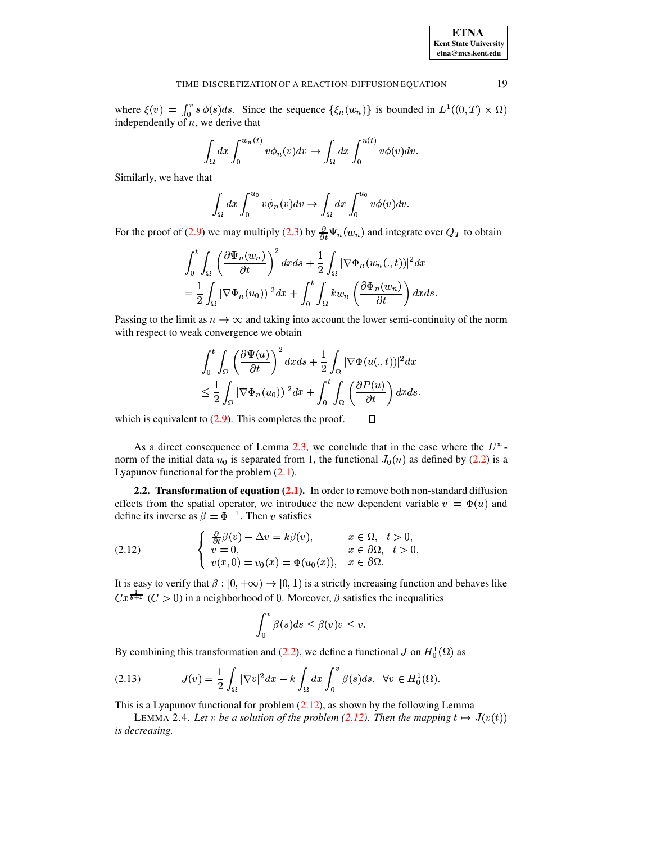where  $\xi(v) = \int_0^v s \phi(s) ds$ . Since the sequence  $\{\xi_n(w_n)\}\$ is bounded in  $L^1((0,T) \times \Omega)$ independently of  $n$ , we derive that

$$
\int_{\Omega} dx \int_0^{w_n(t)} v \phi_n(v) dv \to \int_{\Omega} dx \int_0^{u(t)} v \phi(v) dv.
$$

Similarly, we have that

$$
\int_{\Omega} dx \int_0^{u_0} v \phi_n(v) dv \to \int_{\Omega} dx \int_0^{u_0} v \phi(v) dv.
$$

For the proof of (2.9) we may multiply (2.3) by  $\frac{\partial}{\partial t} \Psi_n(w_n)$  and integrate over  $Q_T$  to obtain

$$
\int_0^t \int_{\Omega} \left(\frac{\partial \Psi_n(w_n)}{\partial t}\right)^2 dxds + \frac{1}{2} \int_{\Omega} |\nabla \Phi_n(w_n(.,t))|^2 dx
$$

$$
= \frac{1}{2} \int_{\Omega} |\nabla \Phi_n(u_0))|^2 dx + \int_0^t \int_{\Omega} kw_n \left(\frac{\partial \Phi_n(w_n)}{\partial t}\right) dxds
$$

Passing to the limit as  $n \to \infty$  and taking into account the lower semi-continuity of the norm with respect to weak convergence we obtain

$$
\int_0^t \int_{\Omega} \left(\frac{\partial \Psi(u)}{\partial t}\right)^2 dx ds + \frac{1}{2} \int_{\Omega} |\nabla \Phi(u(.,t))|^2 dx
$$
  

$$
\leq \frac{1}{2} \int_{\Omega} |\nabla \Phi_n(u_0))|^2 dx + \int_0^t \int_{\Omega} \left(\frac{\partial P(u)}{\partial t}\right) dx ds.
$$

 $\Box$ 

which is equivalent to  $(2.9)$ . This completes the proof.

As a direct consequence of Lemma 2.3, we conclude that in the case where the  $L^{\infty}$ norm of the initial data  $u_0$  is separated from 1, the functional  $J_0(u)$  as defined by (2.2) is a Lyapunov functional for the problem  $(2.1)$ .

<span id="page-4-2"></span>2.2. Transformation of equation (2.1). In order to remove both non-standard diffusion effects from the spatial operator, we introduce the new dependent variable  $v = \Phi(u)$  and define its inverse as  $\beta = \Phi^{-1}$ . Then v satisfies

<span id="page-4-0"></span>(2.12) 
$$
\begin{cases} \frac{\partial}{\partial t} \beta(v) - \Delta v = k \beta(v), & x \in \Omega, \ t > 0, \\ v = 0, & x \in \partial\Omega, \ t > 0, \\ v(x, 0) = v_0(x) = \Phi(u_0(x)), & x \in \partial\Omega. \end{cases}
$$

It is easy to verify that  $\beta$ :  $[0, +\infty) \rightarrow [0, 1)$  is a strictly increasing function and behaves like  $Cx^{\frac{1}{b+1}}$  (C > 0) in a neighborhood of 0. Moreover,  $\beta$  satisfies the inequalities

$$
\int_0^v \beta(s)ds \leq \beta(v)v \leq v.
$$

By combining this transformation and (2.2), we define a functional J on  $H_0^1(\Omega)$  as

<span id="page-4-1"></span>
$$
(2.13) \tJ(v) = \frac{1}{2} \int_{\Omega} |\nabla v|^2 dx - k \int_{\Omega} dx \int_0^v \beta(s) ds, \ \forall v \in H_0^1(\Omega).
$$

This is a Lyapunov functional for problem  $(2.12)$ , as shown by the following Lemma

LEMMA 2.4. Let v be a solution of the problem (2.12). Then the mapping  $t \mapsto J(v(t))$ is decreasing.

19

**ETNA Kent State University**  $etna@mcs. kent.edu$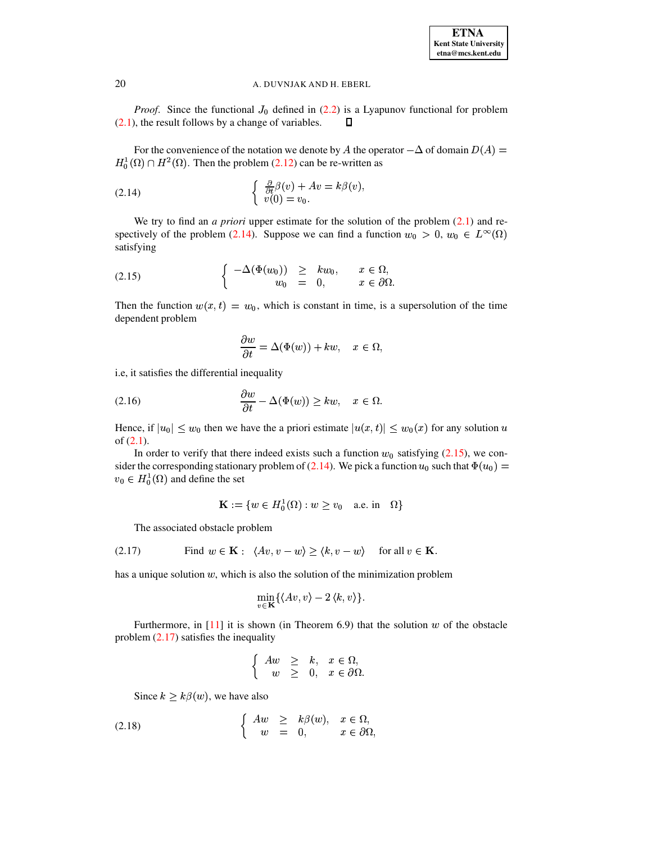*Proof.* Since the functional  $J_0$  defined in (2.2) is a Lyapunov functional for problem  $(2.1)$ , the result follows by a change of variables. О

For the convenience of the notation we denote by A the operator  $-\Delta$  of domain  $D(A)$  =  $H_0^1(\Omega) \cap H^2(\Omega)$ . Then the problem (2.12) can be re-written as

<span id="page-5-0"></span>(2.14) 
$$
\begin{cases} \frac{\partial}{\partial t} \beta(v) + Av = k \beta(v), \\ v(0) = v_0. \end{cases}
$$

We try to find an *a priori* upper estimate for the solution of the problem  $(2.1)$  and respectively of the problem (2.14). Suppose we can find a function  $w_0 > 0$ ,  $w_0 \in L^{\infty}(\Omega)$ satisfying

<span id="page-5-1"></span>(2.15) 
$$
\begin{cases}\n-\Delta(\Phi(w_0)) \geq k w_0, & x \in \Omega, \\
w_0 = 0, & x \in \partial\Omega.\n\end{cases}
$$

Then the function  $w(x, t) = w_0$ , which is constant in time, is a supersolution of the time dependent problem

$$
\frac{\partial w}{\partial t} = \Delta(\Phi(w)) + kw, \quad x \in \Omega,
$$

i.e, it satisfies the differential inequality

$$
(2.16) \qquad \qquad \frac{\partial w}{\partial t} - \Delta(\Phi(w)) \ge kw, \quad x \in \Omega.
$$

Hence, if  $|u_0| \leq w_0$  then we have the a priori estimate  $|u(x,t)| \leq w_0(x)$  for any solution u of  $(2.1)$ .

In order to verify that there indeed exists such a function  $w_0$  satisfying (2.15), we consider the corresponding stationary problem of (2.14). We pick a function  $u_0$  such that  $\Phi(u_0)$  =  $v_0 \in H_0^1(\Omega)$  and define the set

$$
\mathbf{K} := \{ w \in H_0^1(\Omega) : w \ge v_0 \quad \text{a.e. in} \quad \Omega \}
$$

The associated obstacle problem

<span id="page-5-2"></span>(2.17) Find 
$$
w \in \mathbf{K}
$$
:  $\langle Av, v - w \rangle \ge \langle k, v - w \rangle$  for all  $v \in \mathbf{K}$ .

has a unique solution  $w$ , which is also the solution of the minimization problem

$$
\min_{v \in \mathbf{K}} \{ \langle Av, v \rangle - 2 \langle k, v \rangle \}
$$

Furthermore, in  $[11]$  it is shown (in Theorem 6.9) that the solution w of the obstacle problem  $(2.17)$  satisfies the inequality

$$
\begin{cases}\nAw \geq k, & x \in \Omega, \\
w \geq 0, & x \in \partial\Omega.\n\end{cases}
$$

Since  $k > k\beta(w)$ , we have also

(2.18) 
$$
\begin{cases} Aw \geq k\beta(w), & x \in \Omega, \\ w = 0, & x \in \partial\Omega, \end{cases}
$$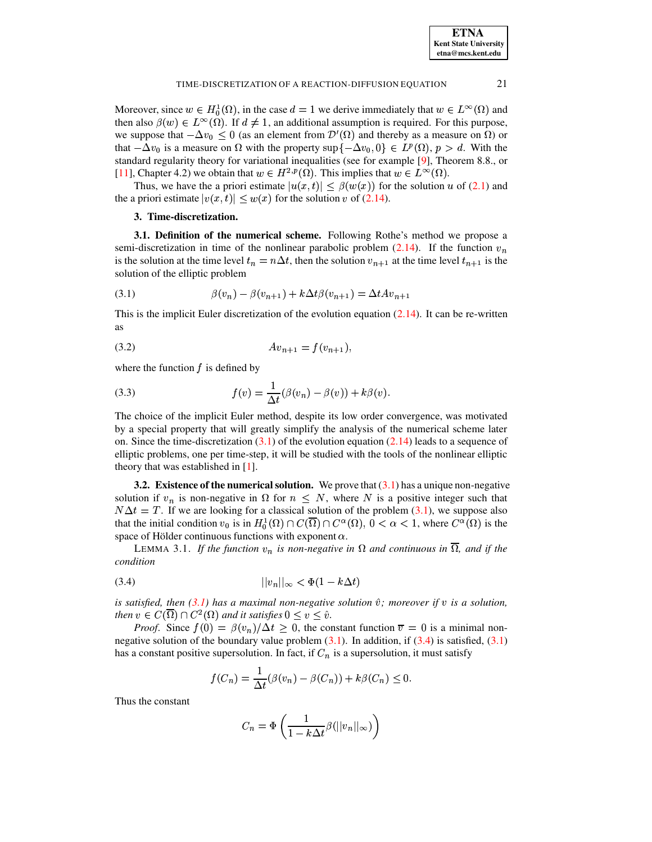| <b>ETNA</b>                  |
|------------------------------|
| <b>Kent State University</b> |
| etna@mcs.kent.edu            |

21

#### TIME-DISCRETIZATION OF A REACTION-DIFFUSION EQUATION

Moreover, since  $w \in H_0^1(\Omega)$ , in the case  $d = 1$  we derive immediately that  $w \in L^{\infty}(\Omega)$  and then also  $\beta(w) \in L^{\infty}(\Omega)$ . If  $d \neq 1$ , an additional assumption is required. For this purpose, we suppose that  $-\Delta v_0 \leq 0$  (as an element from  $\mathcal{D}'(\Omega)$  and thereby as a measure on  $\Omega$ ) or that  $-\Delta v_0$  is a measure on  $\Omega$  with the property sup $\{-\Delta v_0, 0\} \in L^p(\Omega)$ ,  $p > d$ . With the standard regularity theory for variational inequalities (see for example [9], Theorem 8.8., or [11], Chapter 4.2) we obtain that  $w \in H^{2,p}(\Omega)$ . This implies that  $w \in L^{\infty}(\Omega)$ .

<span id="page-6-0"></span>Thus, we have the a priori estimate  $|u(x,t)| \leq \beta(w(x))$  for the solution u of (2.1) and the a priori estimate  $|v(x, t)| \leq w(x)$  for the solution v of (2.14).

# 3. Time-discretization.

**3.1. Definition of the numerical scheme.** Following Rothe's method we propose a semi-discretization in time of the nonlinear parabolic problem (2.14). If the function  $v_n$ is the solution at the time level  $t_n = n\Delta t$ , then the solution  $v_{n+1}$  at the time level  $t_{n+1}$  is the solution of the elliptic problem

<span id="page-6-1"></span>(3.1) 
$$
\beta(v_n) - \beta(v_{n+1}) + k \Delta t \beta(v_{n+1}) = \Delta t A v_{n+1}
$$

This is the implicit Euler discretization of the evolution equation  $(2.14)$ . It can be re-written **as** 

$$
(3.2) \t\t\t Av_{n+1} = f(v_{n+1}),
$$

where the function  $f$  is defined by

(3.3) 
$$
f(v) = \frac{1}{\Delta t} (\beta(v_n) - \beta(v)) + k\beta(v).
$$

The choice of the implicit Euler method, despite its low order convergence, was motivated by a special property that will greatly simplify the analysis of the numerical scheme later on. Since the time-discretization  $(3.1)$  of the evolution equation  $(2.14)$  leads to a sequence of elliptic problems, one per time-step, it will be studied with the tools of the nonlinear elliptic theory that was established in  $[1]$ .

3.2. Existence of the numerical solution. We prove that  $(3.1)$  has a unique non-negative solution if  $v_n$  is non-negative in  $\Omega$  for  $n \leq N$ , where N is a positive integer such that  $N\Delta t = T$ . If we are looking for a classical solution of the problem (3.1), we suppose also that the initial condition  $v_0$  is in  $H_0^1(\Omega) \cap C(\overline{\Omega}) \cap C^{\alpha}(\Omega)$ ,  $0 < \alpha < 1$ , where  $C^{\alpha}(\Omega)$  is the space of Hölder continuous functions with exponent  $\alpha$ .

LEMMA 3.1. If the function  $v_n$  is non-negative in  $\Omega$  and continuous in  $\overline{\Omega}$ , and if the condition

<span id="page-6-2"></span>
$$
||v_n||_{\infty} < \Phi(1 - k\Delta t)
$$

is satisfied, then  $(3.1)$  has a maximal non-negative solution  $\hat{v}$ ; moreover if v is a solution, then  $v \in C(\overline{\Omega}) \cap C^2(\Omega)$  and it satisfies  $0 \le v \le \hat{v}$ .

*Proof.* Since  $f(0) = \beta(v_n)/\Delta t \ge 0$ , the constant function  $\overline{v} = 0$  is a minimal nonnegative solution of the boundary value problem  $(3.1)$ . In addition, if  $(3.4)$  is satisfied,  $(3.1)$ has a constant positive supersolution. In fact, if  $C_n$  is a supersolution, it must satisfy

$$
f(C_n) = \frac{1}{\Delta t} (\beta(v_n) - \beta(C_n)) + k\beta(C_n) \leq 0.
$$

Thus the constant

$$
C_n = \Phi\left(\frac{1}{1 - k\Delta t} \beta(||v_n||_{\infty})\right)
$$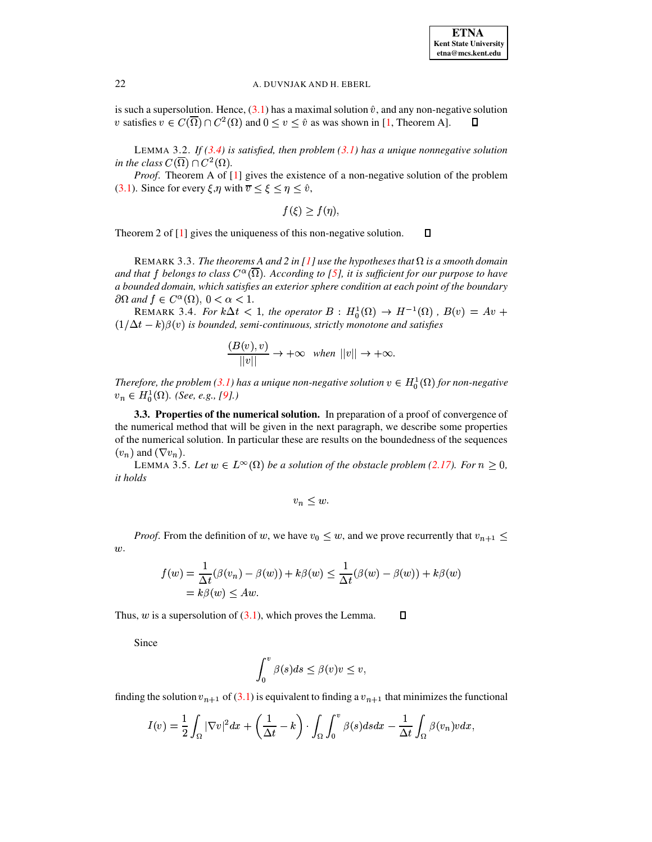is such a supersolution. Hence,  $(3.1)$  has a maximal solution  $\hat{v}$ , and any non-negative solution v satisfies  $v \in C(\overline{\Omega}) \cap C^2(\Omega)$  and  $0 \le v \le \hat{v}$  as was shown in [1, Theorem A].  $\Box$ 

LEMMA 3.2. If  $(3.4)$  is satisfied, then problem  $(3.1)$  has a unique nonnegative solution in the class  $C(\overline{\Omega}) \cap C^2(\Omega)$ .

Proof. Theorem A of [1] gives the existence of a non-negative solution of the problem (3.1). Since for every  $\xi, \eta$  with  $\overline{v} < \xi < \eta < \hat{v}$ ,

$$
f(\xi)\geq f(\eta),
$$

 $\Box$ Theorem 2 of  $[1]$  gives the uniqueness of this non-negative solution.

REMARK 3.3. The theorems A and 2 in [1] use the hypotheses that  $\Omega$  is a smooth domain and that f belongs to class  $C^{\alpha}(\overline{\Omega})$ . According to [5], it is sufficient for our purpose to have a bounded domain, which satisfies an exterior sphere condition at each point of the boundary  $\partial\Omega$  and  $f \in C^{\alpha}(\Omega)$ ,  $0 < \alpha < 1$ .

REMARK 3.4. For  $k\Delta t$  < 1, the operator  $B: H_0^1(\Omega) \to H^{-1}(\Omega)$ ,  $B(v) = Av +$  $(1/\Delta t - k)\beta(v)$  is bounded, semi-continuous, strictly monotone and satisfies

$$
\frac{(B(v),v)}{\|v\|} \to +\infty \quad when \ \|v\| \to +\infty.
$$

Therefore, the problem (3.1) has a unique non-negative solution  $v \in H_0^1(\Omega)$  for non-negative  $v_n \in H_0^1(\Omega)$ . (See, e.g., [9].)

3.3. Properties of the numerical solution. In preparation of a proof of convergence of the numerical method that will be given in the next paragraph, we describe some properties of the numerical solution. In particular these are results on the boundedness of the sequences  $(v_n)$  and  $(\nabla v_n)$ .

LEMMA 3.5. Let  $w \in L^{\infty}(\Omega)$  be a solution of the obstacle problem (2.17). For  $n \geq 0$ , it holds

$$
v_n \leq w.
$$

*Proof.* From the definition of w, we have  $v_0 \leq w$ , and we prove recurrently that  $v_{n+1} \leq$  $w$ .

$$
f(w) = \frac{1}{\Delta t} (\beta(v_n) - \beta(w)) + k\beta(w) \le \frac{1}{\Delta t} (\beta(w) - \beta(w)) + k\beta(w)
$$
  
=  $k\beta(w) \le Aw$ .

Thus,  $w$  is a supersolution of  $(3.1)$ , which proves the Lemma.  $\Box$ 

Since

$$
\int_0^v \beta(s)ds \leq \beta(v)v \leq v,
$$

finding the solution  $v_{n+1}$  of (3.1) is equivalent to finding a  $v_{n+1}$  that minimizes the functional

$$
I(v) = \frac{1}{2} \int_{\Omega} |\nabla v|^2 dx + \left(\frac{1}{\Delta t} - k\right) \cdot \int_{\Omega} \int_0^v \beta(s) ds dx - \frac{1}{\Delta t} \int_{\Omega} \beta(v_n) v dx,
$$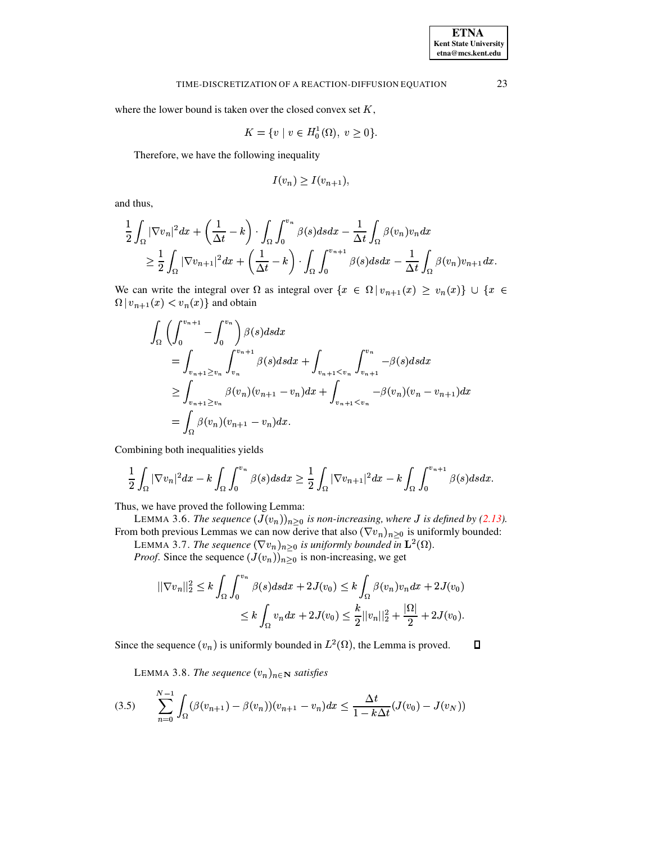where the lower bound is taken over the closed convex set  $K$ ,

$$
K = \{ v \mid v \in H_0^1(\Omega), \ v \ge 0 \}
$$

Therefore, we have the following inequality

$$
I(v_n) \geq I(v_{n+1}),
$$

and thus,

$$
\frac{1}{2}\int_{\Omega}|\nabla v_n|^2dx + \left(\frac{1}{\Delta t} - k\right)\cdot \int_{\Omega}\int_0^{v_n}\beta(s)dsdx - \frac{1}{\Delta t}\int_{\Omega}\beta(v_n)v_n dx
$$
  
\n
$$
\geq \frac{1}{2}\int_{\Omega}|\nabla v_{n+1}|^2dx + \left(\frac{1}{\Delta t} - k\right)\cdot \int_{\Omega}\int_0^{v_{n+1}}\beta(s)dsdx - \frac{1}{\Delta t}\int_{\Omega}\beta(v_n)v_{n+1}dx.
$$

We can write the integral over  $\Omega$  as integral over  $\{x \in \Omega \mid v_{n+1}(x) \ge v_n(x)\} \cup \{x \in \Omega\}$  $\Omega | v_{n+1}(x) < v_n(x) \}$  and obtain

$$
\int_{\Omega} \left( \int_{0}^{v_{n+1}} - \int_{0}^{v_{n}} \right) \beta(s) ds dx \n= \int_{v_{n+1} \ge v_{n}} \int_{v_{n}}^{v_{n+1}} \beta(s) ds dx + \int_{v_{n+1} < v_{n}} \int_{v_{n+1}}^{v_{n}} -\beta(s) ds dx \n\ge \int_{v_{n+1} \ge v_{n}} \beta(v_{n}) (v_{n+1} - v_{n}) dx + \int_{v_{n+1} < v_{n}} -\beta(v_{n}) (v_{n} - v_{n+1}) dx \n= \int_{\Omega} \beta(v_{n}) (v_{n+1} - v_{n}) dx.
$$

Combining both inequalities yields

$$
\frac{1}{2}\int_{\Omega}|\nabla v_n|^2dx-k\int_{\Omega}\int_0^{v_n}\beta(s)dsdx\geq \frac{1}{2}\int_{\Omega}|\nabla v_{n+1}|^2dx-k\int_{\Omega}\int_0^{v_{n+1}}\beta(s)dsdx.
$$

Thus, we have proved the following Lemma:

LEMMA 3.6. The sequence  $(J(v_n))_{n\geq 0}$  is non-increasing, where J is defined by (2.13). From both previous Lemmas we can now derive that also  $(\nabla v_n)_{n>0}$  is uniformly bounded:

LEMMA 3.7. The sequence  $(\nabla v_n)_{n>0}$  is uniformly bounded in  $\mathbf{L}^2(\Omega)$ .

*Proof.* Since the sequence  $(J(v_n))_{n\geq 0}$  is non-increasing, we get

$$
||\nabla v_n||_2^2 \le k \int_{\Omega} \int_0^{v_n} \beta(s) ds dx + 2J(v_0) \le k \int_{\Omega} \beta(v_n) v_n dx + 2J(v_0)
$$
  

$$
\le k \int_{\Omega} v_n dx + 2J(v_0) \le \frac{k}{2} ||v_n||_2^2 + \frac{|\Omega|}{2} + 2J(v_0).
$$

<span id="page-8-1"></span>Since the sequence  $(v_n)$  is uniformly bounded in  $L^2(\Omega)$ , the Lemma is proved.  $\Box$ 

LEMMA 3.8. The sequence  $(v_n)_{n \in \mathbb{N}}$  satisfies

<span id="page-8-0"></span>
$$
(3.5) \qquad \sum_{n=0}^{N-1} \int_{\Omega} (\beta(v_{n+1}) - \beta(v_n))(v_{n+1} - v_n) dx \le \frac{\Delta t}{1 - k \Delta t} (J(v_0) - J(v_N))
$$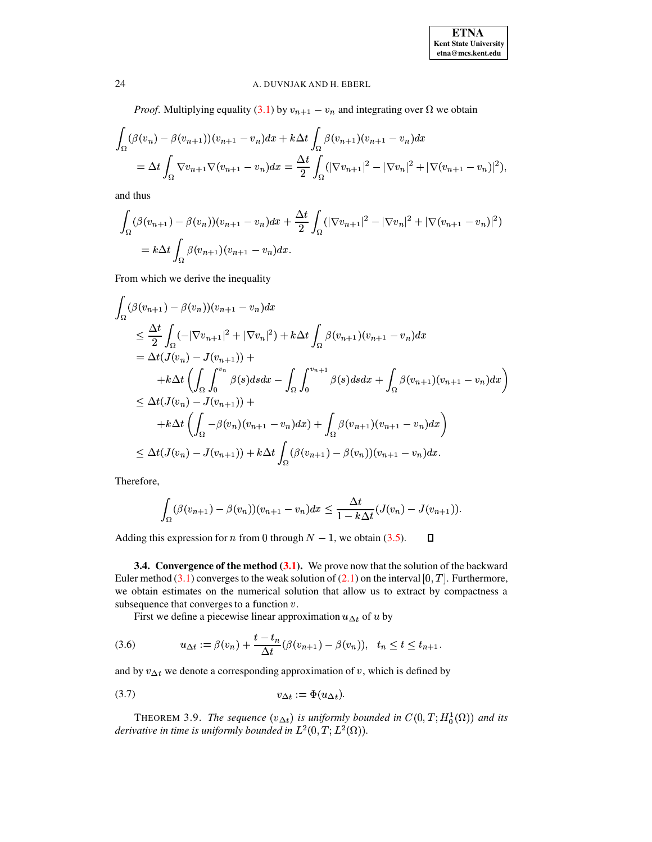*Proof.* Multiplying equality (3.1) by  $v_{n+1} - v_n$  and integrating over  $\Omega$  we obtain

$$
\int_{\Omega} (\beta(v_n) - \beta(v_{n+1}))(v_{n+1} - v_n) dx + k \Delta t \int_{\Omega} \beta(v_{n+1})(v_{n+1} - v_n) dx
$$
  
=  $\Delta t \int_{\Omega} \nabla v_{n+1} \nabla (v_{n+1} - v_n) dx = \frac{\Delta t}{2} \int_{\Omega} (|\nabla v_{n+1}|^2 - |\nabla v_n|^2 + |\nabla (v_{n+1} - v_n)|^2)$ 

and thus

$$
\int_{\Omega} (\beta(v_{n+1}) - \beta(v_n))(v_{n+1} - v_n) dx + \frac{\Delta t}{2} \int_{\Omega} (|\nabla v_{n+1}|^2 - |\nabla v_n|^2 + |\nabla (v_{n+1} - v_n)|^2)
$$
  
=  $k \Delta t \int_{\Omega} \beta(v_{n+1})(v_{n+1} - v_n) dx$ .

From which we derive the inequality

$$
\int_{\Omega} (\beta(v_{n+1}) - \beta(v_n))(v_{n+1} - v_n) dx
$$
\n
$$
\leq \frac{\Delta t}{2} \int_{\Omega} (-|\nabla v_{n+1}|^2 + |\nabla v_n|^2) + k \Delta t \int_{\Omega} \beta(v_{n+1})(v_{n+1} - v_n) dx
$$
\n
$$
= \Delta t (J(v_n) - J(v_{n+1})) +
$$
\n
$$
+ k \Delta t \left( \int_{\Omega} \int_{0}^{v_n} \beta(s) ds dx - \int_{\Omega} \int_{0}^{v_{n+1}} \beta(s) ds dx + \int_{\Omega} \beta(v_{n+1})(v_{n+1} - v_n) dx \right)
$$
\n
$$
\leq \Delta t (J(v_n) - J(v_{n+1})) +
$$
\n
$$
+ k \Delta t \left( \int_{\Omega} -\beta(v_n)(v_{n+1} - v_n) dx \right) + \int_{\Omega} \beta(v_{n+1})(v_{n+1} - v_n) dx \right)
$$
\n
$$
\leq \Delta t (J(v_n) - J(v_{n+1})) + k \Delta t \int_{\Omega} (\beta(v_{n+1}) - \beta(v_n))(v_{n+1} - v_n) dx.
$$

Therefore,

$$
\int_{\Omega} (\beta(v_{n+1}) - \beta(v_n))(v_{n+1} - v_n) dx \leq \frac{\Delta t}{1 - k \Delta t} (J(v_n) - J(v_{n+1})).
$$

 $\Box$ Adding this expression for *n* from 0 through  $N - 1$ , we obtain (3.5).

**3.4. Convergence of the method**  $(3.1)$ **.** We prove now that the solution of the backward Euler method  $(3.1)$  converges to the weak solution of  $(2.1)$  on the interval  $[0, T]$ . Furthermore, we obtain estimates on the numerical solution that allow us to extract by compactness a subsequence that converges to a function  $v$ .

First we define a piecewise linear approximation  $u_{\Delta t}$  of u by

<span id="page-9-0"></span>(3.6) 
$$
u_{\Delta t} := \beta(v_n) + \frac{t - t_n}{\Delta t} (\beta(v_{n+1}) - \beta(v_n)), \quad t_n \le t \le t_{n+1}
$$

and by  $v_{\Delta t}$  we denote a corresponding approximation of v, which is defined by

<span id="page-9-1"></span>
$$
(3.7) \t\t v_{\Delta t} := \Phi(u_{\Delta t})
$$

THEOREM 3.9. The sequence  $(v_{\Delta t})$  is uniformly bounded in  $C(0,T;H_0^1(\Omega))$  and its derivative in time is uniformly bounded in  $L^2(0,T;L^2(\Omega))$ .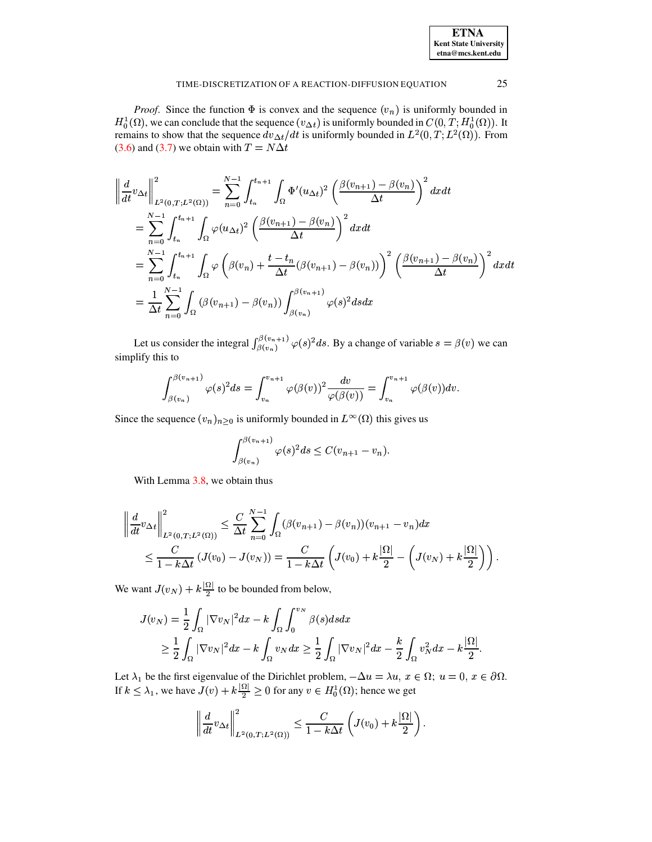| <b>ETNA</b>                  |
|------------------------------|
| <b>Kent State University</b> |
| etna@mcs.kent.edu            |

25

#### TIME-DISCRETIZATION OF A REACTION-DIFFUSION EQUATION

*Proof.* Since the function  $\Phi$  is convex and the sequence  $(v_n)$  is uniformly bounded in  $H_0^1(\Omega)$ , we can conclude that the sequence  $(v_{\Delta t})$  is uniformly bounded in  $C(0,T;H_0^1(\Omega))$ . It remains to show that the sequence  $dv_{\Delta t}/dt$  is uniformly bounded in  $L^2(0,T;L^2(\Omega))$ . From (3.6) and (3.7) we obtain with  $T = N \Delta t$ 

$$
\begin{split}\n\left\| \frac{d}{dt} v_{\Delta t} \right\|_{L^{2}(0,T;L^{2}(\Omega))}^{2} &= \sum_{n=0}^{N-1} \int_{t_{n}}^{t_{n+1}} \int_{\Omega} \Phi'(u_{\Delta t})^{2} \left( \frac{\beta(v_{n+1}) - \beta(v_{n})}{\Delta t} \right)^{2} dx dt \\
&= \sum_{n=0}^{N-1} \int_{t_{n}}^{t_{n+1}} \int_{\Omega} \varphi(u_{\Delta t})^{2} \left( \frac{\beta(v_{n+1}) - \beta(v_{n})}{\Delta t} \right)^{2} dx dt \\
&= \sum_{n=0}^{N-1} \int_{t_{n}}^{t_{n+1}} \int_{\Omega} \varphi \left( \beta(v_{n}) + \frac{t - t_{n}}{\Delta t} (\beta(v_{n+1}) - \beta(v_{n})) \right)^{2} \left( \frac{\beta(v_{n+1}) - \beta(v_{n})}{\Delta t} \right)^{2} dx dt \\
&= \frac{1}{\Delta t} \sum_{n=0}^{N-1} \int_{\Omega} (\beta(v_{n+1}) - \beta(v_{n})) \int_{\beta(v_{n})}^{\beta(v_{n+1})} \varphi(s)^{2} ds dx\n\end{split}
$$

Let us consider the integral  $\int_{\beta(v_n)}^{\beta(v_n+1)} \varphi(s)^2 ds$ . By a change of variable  $s = \beta(v)$  we can simplify this to

$$
\int_{\beta(v_n)}^{\beta(v_{n+1})} \varphi(s)^2 ds = \int_{v_n}^{v_{n+1}} \varphi(\beta(v))^2 \frac{dv}{\varphi(\beta(v))} = \int_{v_n}^{v_{n+1}} \varphi(\beta(v)) dv.
$$

Since the sequence  $(v_n)_{n\geq 0}$  is uniformly bounded in  $L^{\infty}(\Omega)$  this gives us

$$
\int_{\beta(v_n)}^{\beta(v_{n+1})} \varphi(s)^2 ds \le C(v_{n+1} - v_n).
$$

With Lemma 3.8, we obtain thus

$$
\left\| \frac{d}{dt} v_{\Delta t} \right\|_{L^{2}(0,T;L^{2}(\Omega))}^{2} \leq \frac{C}{\Delta t} \sum_{n=0}^{N-1} \int_{\Omega} (\beta(v_{n+1}) - \beta(v_{n}))(v_{n+1} - v_{n}) dx
$$
  

$$
\leq \frac{C}{1 - k\Delta t} (J(v_{0}) - J(v_{N})) = \frac{C}{1 - k\Delta t} \left( J(v_{0}) + k \frac{|\Omega|}{2} - \left( J(v_{N}) + k \frac{|\Omega|}{2} \right) \right)
$$

We want  $J(v_N) + k \frac{|\Omega|}{2}$  to be bounded from below,

$$
J(v_N) = \frac{1}{2} \int_{\Omega} |\nabla v_N|^2 dx - k \int_{\Omega} \int_0^{v_N} \beta(s) ds dx
$$
  
\n
$$
\geq \frac{1}{2} \int_{\Omega} |\nabla v_N|^2 dx - k \int_{\Omega} v_N dx \geq \frac{1}{2} \int_{\Omega} |\nabla v_N|^2 dx - \frac{k}{2} \int_{\Omega} v_N^2 dx - k \frac{|\Omega|}{2}
$$

Let  $\lambda_1$  be the first eigenvalue of the Dirichlet problem,  $-\Delta u = \lambda u$ ,  $x \in \Omega$ ;  $u = 0$ ,  $x \in \partial\Omega$ .<br>If  $k \leq \lambda_1$ , we have  $J(v) + k\frac{|\Omega|}{2} \geq 0$  for any  $v \in H_0^1(\Omega)$ ; hence we get

$$
\left\|\frac{d}{dt}v_{\Delta t}\right\|_{L^2(0,T;L^2(\Omega))}^2 \leq \frac{C}{1-k\Delta t}\left(J(v_0)+k\frac{|\Omega|}{2}\right).
$$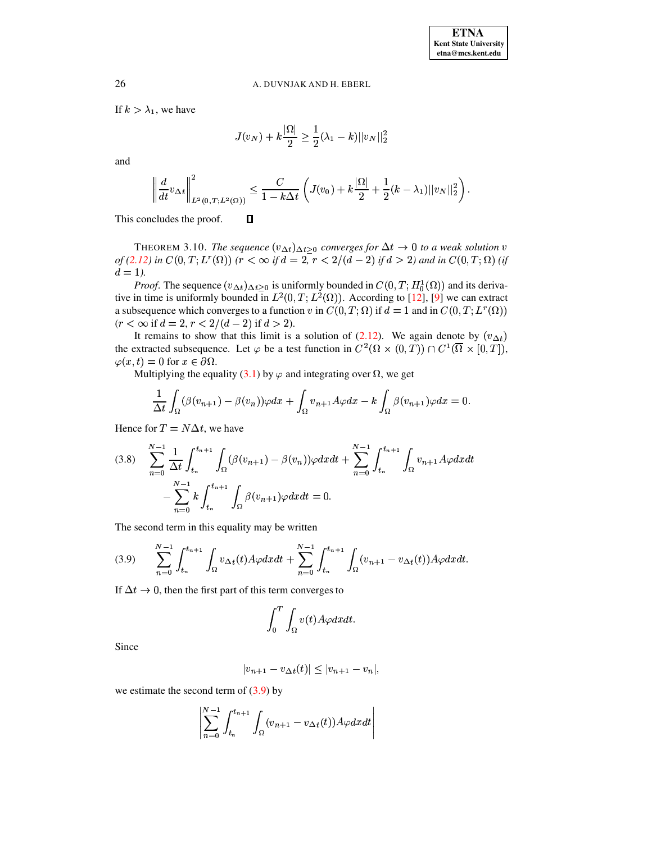If  $k > \lambda_1$ , we have

$$
J(v_N) + k \frac{|\Omega|}{2} \ge \frac{1}{2}(\lambda_1 - k) ||v_N||_2^2
$$

and

$$
\left\|\frac{d}{dt}v_{\Delta t}\right\|_{L^2(0,T;L^2(\Omega))}^2 \leq \frac{C}{1-k\Delta t}\left(J(v_0)+k\frac{|\Omega|}{2}+\frac{1}{2}(k-\lambda_1)||v_N||_2^2\right).
$$

This concludes the proof.

<span id="page-11-2"></span>THEOREM 3.10. The sequence  $(v_{\Delta t})_{\Delta t \geq 0}$  converges for  $\Delta t \to 0$  to a weak solution v of (2.12) in  $C(0,T;L^r(\Omega))$  ( $r < \infty$  if  $d = 2$ ,  $r < 2/(d-2)$  if  $d > 2$ ) and in  $C(0,T;\Omega)$  (if  $d = 1$ ).

*Proof.* The sequence  $(v_{\Delta t})_{\Delta t \geq 0}$  is uniformly bounded in  $C(0, T; H_0^1(\Omega))$  and its derivative in time is uniformly bounded in  $L^2(0,T; L^2(\Omega))$ . According to [12], [9] we can extract a subsequence which converges to a function v in  $C(0,T;\Omega)$  if  $d=1$  and in  $C(0,T;L^r(\Omega))$  $(r < \infty$  if  $d = 2, r < 2/(d - 2)$  if  $d > 2$ ).

It remains to show that this limit is a solution of (2.12). We again denote by  $(v_{\Delta t})$ the extracted subsequence. Let  $\varphi$  be a test function in  $C^2(\Omega \times (0,T)) \cap C^1(\overline{\Omega} \times [0,T])$ ,  $\varphi(x,t) = 0$  for  $x \in \partial \Omega$ .

Multiplying the equality (3.1) by  $\varphi$  and integrating over  $\Omega$ , we get

 $\Box$ 

$$
\frac{1}{\Delta t}\int_{\Omega}(\beta(v_{n+1})-\beta(v_n))\varphi dx+\int_{\Omega}v_{n+1}A\varphi dx-k\int_{\Omega}\beta(v_{n+1})\varphi dx=0.
$$

Hence for  $T = N\Delta t$ , we have

<span id="page-11-1"></span>
$$
(3.8) \sum_{n=0}^{N-1} \frac{1}{\Delta t} \int_{t_n}^{t_{n+1}} \int_{\Omega} (\beta(v_{n+1}) - \beta(v_n)) \varphi dx dt + \sum_{n=0}^{N-1} \int_{t_n}^{t_{n+1}} \int_{\Omega} v_{n+1} A \varphi dx dt - \sum_{n=0}^{N-1} k \int_{t_n}^{t_{n+1}} \int_{\Omega} \beta(v_{n+1}) \varphi dx dt = 0.
$$

The second term in this equality may be written

<span id="page-11-0"></span>
$$
(3.9) \qquad \sum_{n=0}^{N-1} \int_{t_n}^{t_{n+1}} \int_{\Omega} v_{\Delta t}(t) A\varphi dx dt + \sum_{n=0}^{N-1} \int_{t_n}^{t_{n+1}} \int_{\Omega} (v_{n+1} - v_{\Delta t}(t)) A\varphi dx dt
$$

If  $\Delta t \rightarrow 0$ , then the first part of this term converges to

$$
\int_0^T \int_{\Omega} v(t) A\varphi dx dt.
$$

Since

$$
|v_{n+1} - v_{\Delta t}(t)| \le |v_{n+1} - v_n|,
$$

we estimate the second term of  $(3.9)$  by

$$
\left|\sum_{n=0}^{N-1} \int_{t_n}^{t_{n+1}} \int_{\Omega} (v_{n+1} - v_{\Delta t}(t)) A\varphi dx dt\right|
$$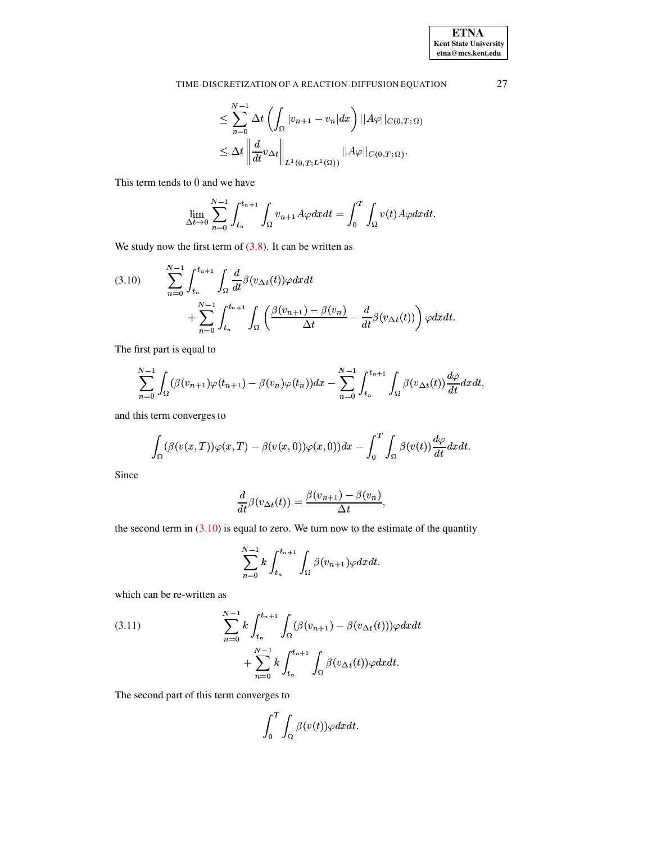$$
\leq \sum_{n=0}^{N-1} \Delta t \left( \int_{\Omega} |v_{n+1} - v_n| dx \right) ||A\varphi||_{C(0,T;\Omega)}
$$
  

$$
\leq \Delta t \left\| \frac{d}{dt} v_{\Delta t} \right\|_{L^1(0,T;L^1(\Omega))} ||A\varphi||_{C(0,T;\Omega)}.
$$

This term tends to 0 and we have

$$
\lim_{\Delta t \to 0} \sum_{n=0}^{N-1} \int_{t_n}^{t_{n+1}} \int_{\Omega} v_{n+1} A \varphi dx dt = \int_0^T \int_{\Omega} v(t) A \varphi dx dt.
$$

We study now the first term of  $(3.8)$ . It can be written as

<span id="page-12-0"></span>
$$
(3.10) \qquad \sum_{n=0}^{N-1} \int_{t_n}^{t_{n+1}} \int_{\Omega} \frac{d}{dt} \beta(v_{\Delta t}(t)) \varphi dx dt + \sum_{n=0}^{N-1} \int_{t_n}^{t_{n+1}} \int_{\Omega} \left( \frac{\beta(v_{n+1}) - \beta(v_n)}{\Delta t} - \frac{d}{dt} \beta(v_{\Delta t}(t)) \right) \varphi dx dt
$$

The first part is equal to

$$
\sum_{n=0}^{N-1} \int_{\Omega} (\beta(v_{n+1})\varphi(t_{n+1}) - \beta(v_n)\varphi(t_n))dx - \sum_{n=0}^{N-1} \int_{t_n}^{t_{n+1}} \int_{\Omega} \beta(v_{\Delta t}(t))\frac{d\varphi}{dt}dxdt,
$$

and this term converges to

$$
\int_{\Omega} (\beta(v(x,T))\varphi(x,T) - \beta(v(x,0))\varphi(x,0))dx - \int_0^T \int_{\Omega} \beta(v(t))\frac{d\varphi}{dt}dxdt.
$$

Since

$$
\frac{d}{dt}\beta(v_{\Delta t}(t)) = \frac{\beta(v_{n+1}) - \beta(v_n)}{\Delta t},
$$

the second term in  $(3.10)$  is equal to zero. We turn now to the estimate of the quantity

$$
\sum_{n=0}^{N-1} k \int_{t_n}^{t_{n+1}} \int_{\Omega} \beta(v_{n+1}) \varphi dx dt.
$$

which can be re-written as

<span id="page-12-1"></span>(3.11) 
$$
\sum_{n=0}^{N-1} k \int_{t_n}^{t_{n+1}} \int_{\Omega} (\beta(v_{n+1}) - \beta(v_{\Delta t}(t))) \varphi dx dt + \sum_{n=0}^{N-1} k \int_{t_n}^{t_{n+1}} \int_{\Omega} \beta(v_{\Delta t}(t)) \varphi dx dt.
$$

The second part of this term converges to

$$
\int_0^T\int_\Omega \beta(v(t))\varphi dxdt.
$$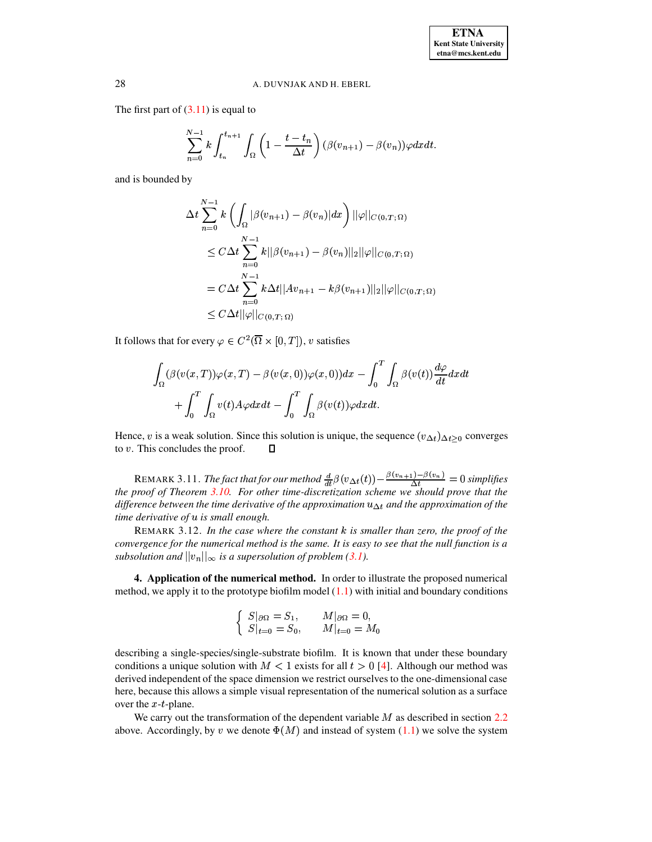The first part of  $(3.11)$  is equal to

$$
\sum_{n=0}^{N-1} k \int_{t_n}^{t_{n+1}} \int_{\Omega} \left(1 - \frac{t - t_n}{\Delta t}\right) (\beta(v_{n+1}) - \beta(v_n)) \varphi dx dt.
$$

and is bounded by

$$
\Delta t \sum_{n=0}^{N-1} k \left( \int_{\Omega} |\beta(v_{n+1}) - \beta(v_n)| dx \right) ||\varphi||_{C(0,T;\Omega)}
$$
  
\n
$$
\leq C \Delta t \sum_{n=0}^{N-1} k ||\beta(v_{n+1}) - \beta(v_n)||_2 ||\varphi||_{C(0,T;\Omega)}
$$
  
\n
$$
= C \Delta t \sum_{n=0}^{N-1} k \Delta t ||Av_{n+1} - k \beta(v_{n+1})||_2 ||\varphi||_{C(0,T;\Omega)}
$$
  
\n
$$
\leq C \Delta t ||\varphi||_{C(0,T;\Omega)}
$$

It follows that for every  $\varphi \in C^2(\overline{\Omega} \times [0,T])$ , v satisfies

$$
\int_{\Omega} (\beta(v(x,T))\varphi(x,T) - \beta(v(x,0))\varphi(x,0))dx - \int_{0}^{T} \int_{\Omega} \beta(v(t))\frac{d\varphi}{dt}dxdt + \int_{0}^{T} \int_{\Omega} v(t)A\varphi dxdt - \int_{0}^{T} \int_{\Omega} \beta(v(t))\varphi dxdt.
$$

Hence, v is a weak solution. Since this solution is unique, the sequence  $(v_{\Delta t})_{\Delta t \geq 0}$  converges to  $v$ . This concludes the proof.  $\Box$ 

REMARK 3.11. The fact that for our method  $\frac{d}{dt}\beta(v_{\Delta t}(t)) - \frac{\beta(v_{n+1}) - \beta(v_n)}{\Delta t} = 0$  simplifies the proof of Theorem 3.10. For other time-discretization scheme we should prove that the difference between the time derivative of the approximation  $u_{\Delta t}$  and the approximation of the time derivative of u is small enough.

REMARK 3.12. In the case where the constant  $k$  is smaller than zero, the proof of the convergence for the numerical method is the same. It is easy to see that the null function is a subsolution and  $||v_n||_{\infty}$  is a supersolution of problem (3.1).

<span id="page-13-0"></span>4. Application of the numerical method. In order to illustrate the proposed numerical method, we apply it to the prototype biofilm model  $(1.1)$  with initial and boundary conditions

$$
\begin{cases}\nS|_{\partial\Omega} = S_1, & M|_{\partial\Omega} = 0, \\
S|_{t=0} = S_0, & M|_{t=0} = M_0\n\end{cases}
$$

describing a single-species/single-substrate biofilm. It is known that under these boundary conditions a unique solution with  $M < 1$  exists for all  $t > 0$  [4]. Although our method was derived independent of the space dimension we restrict ourselves to the one-dimensional case here, because this allows a simple visual representation of the numerical solution as a surface over the  $x$ -t-plane.

We carry out the transformation of the dependent variable  $M$  as described in section 2.2 above. Accordingly, by v we denote  $\Phi(M)$  and instead of system (1.1) we solve the system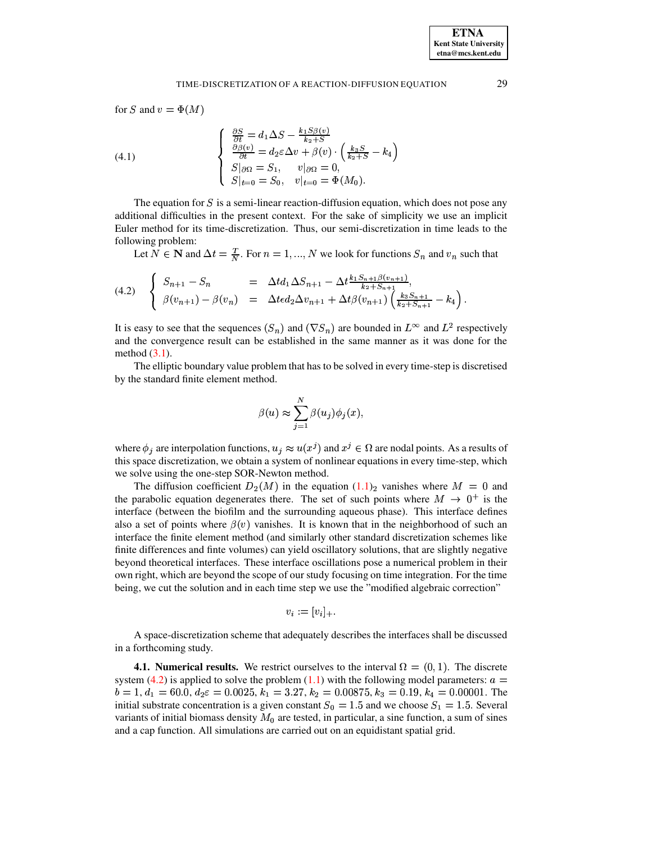for S and  $v = \Phi(M)$ 

(4.1) 
$$
\begin{cases} \frac{\partial S}{\partial t} = d_1 \Delta S - \frac{k_1 S \beta(v)}{k_2 + S} \\ \frac{\partial \beta(v)}{\partial t} = d_2 \varepsilon \Delta v + \beta(v) \cdot \left(\frac{k_3 S}{k_2 + S} - k_4\right) \\ S|_{\partial \Omega} = S_1, \quad v|_{\partial \Omega} = 0, \\ S|_{t=0} = S_0, \quad v|_{t=0} = \Phi(M_0). \end{cases}
$$

The equation for  $S$  is a semi-linear reaction-diffusion equation, which does not pose any additional difficulties in the present context. For the sake of simplicity we use an implicit Euler method for its time-discretization. Thus, our semi-discretization in time leads to the following problem:

Let  $N \in \mathbb{N}$  and  $\Delta t = \frac{T}{N}$ . For  $n = 1, ..., N$  we look for functions  $S_n$  and  $v_n$  such that

<span id="page-14-0"></span>
$$
(4.2) \quad\n\begin{cases}\nS_{n+1} - S_n & = \Delta t d_1 \Delta S_{n+1} - \Delta t \frac{k_1 S_{n+1} \beta(v_{n+1})}{k_2 + S_{n+1}}, \\
\beta(v_{n+1}) - \beta(v_n) & = \Delta t \epsilon d_2 \Delta v_{n+1} + \Delta t \beta(v_{n+1}) \left(\frac{k_3 S_{n+1}}{k_2 + S_{n+1}} - k_4\right).\n\end{cases}
$$

It is easy to see that the sequences  $(S_n)$  and  $(\nabla S_n)$  are bounded in  $L^{\infty}$  and  $L^2$  respectively and the convergence result can be established in the same manner as it was done for the method  $(3.1)$ .

The elliptic boundary value problem that has to be solved in every time-step is discretised by the standard finite element method.

$$
\beta(u) \approx \sum_{j=1}^N \beta(u_j)\phi_j(x),
$$

where  $\phi_i$  are interpolation functions,  $u_i \approx u(x^j)$  and  $x^j \in \Omega$  are nodal points. As a results of this space discretization, we obtain a system of nonlinear equations in every time-step, which we solve using the one-step SOR-Newton method.

The diffusion coefficient  $D_2(M)$  in the equation  $(1.1)_2$  vanishes where  $M = 0$  and the parabolic equation degenerates there. The set of such points where  $M \rightarrow 0^+$  is the interface (between the biofilm and the surrounding aqueous phase). This interface defines also a set of points where  $\beta(v)$  vanishes. It is known that in the neighborhood of such an interface the finite element method (and similarly other standard discretization schemes like finite differences and finte volumes) can yield oscillatory solutions, that are slightly negative beyond theoretical interfaces. These interface oscillations pose a numerical problem in their own right, which are beyond the scope of our study focusing on time integration. For the time being, we cut the solution and in each time step we use the "modified algebraic correction"

$$
v_i := [v_i]_+.
$$

A space-discretization scheme that adequately describes the interfaces shall be discussed in a forthcoming study.

**4.1. Numerical results.** We restrict ourselves to the interval  $\Omega = (0, 1)$ . The discrete system (4.2) is applied to solve the problem (1.1) with the following model parameters:  $a =$  $b = 1, d_1 = 60.0, d_2 \varepsilon = 0.0025, k_1 = 3.27, k_2 = 0.00875, k_3 = 0.19, k_4 = 0.00001$ . The initial substrate concentration is a given constant  $S_0 = 1.5$  and we choose  $S_1 = 1.5$ . Several variants of initial biomass density  $M_0$  are tested, in particular, a sine function, a sum of sines and a cap function. All simulations are carried out on an equidistant spatial grid.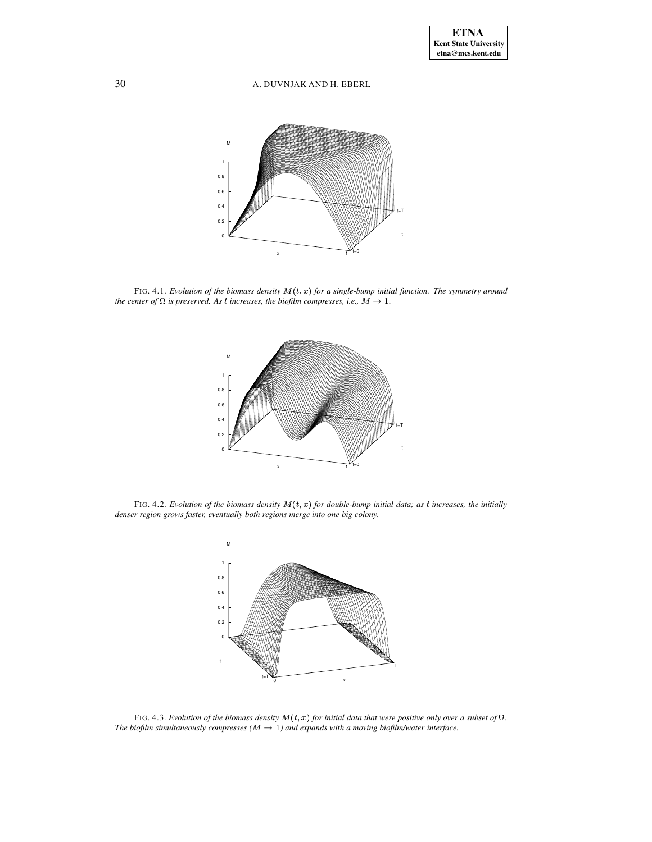

<span id="page-15-0"></span>FIG. 4.1. *Evolution of the biomass density*  $M(t, x)$  *for a single-bump initial function. The symmetry around the center of*  $\Omega$  *is preserved. As t increases, the biofilm compresses, i.e.,*  $M \rightarrow 1$ *.* 



<span id="page-15-2"></span>FIG. 4.2. *Evolution of the biomass density*  $M(t, x)$  *for double-bump initial data; as t increases, the initially denser region grows faster, eventually both regions merge into one big colony.*



<span id="page-15-1"></span>FIG. 4.3. Evolution of the biomass density  $M(t, x)$  for initial data that were positive only over a subset of  $\Omega$ . *The biofilm simultaneously compresses*  $(M \rightarrow 1)$  *and expands with a moving biofilm/water interface.*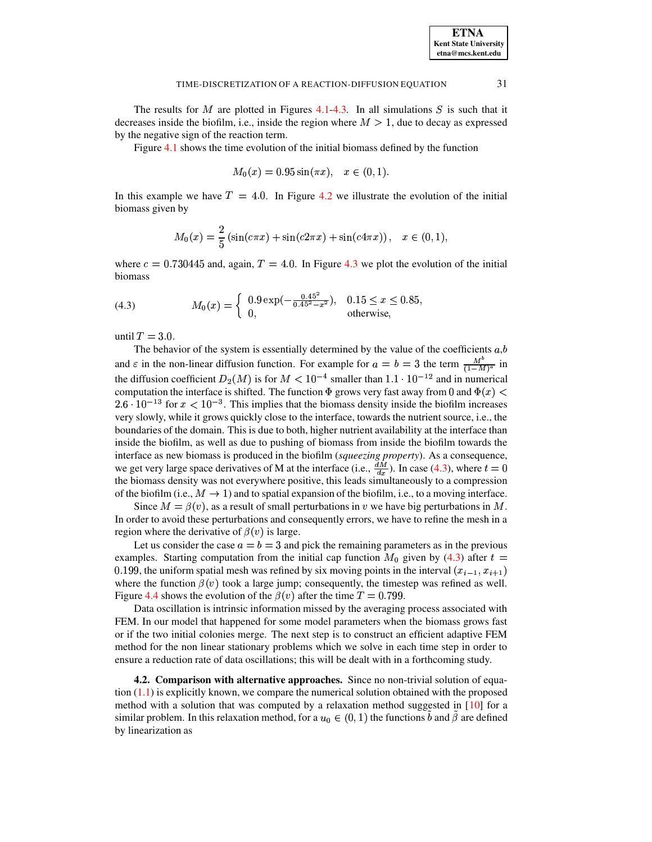The results for M are plotted in Figures [4.1](#page-15-0)[-4.3.](#page-15-1) In all simulations S is such that it decreases inside the biofilm, i.e., inside the region where  $M > 1$ , due to decay as expressed by the negative sign of the reaction term.

Figure [4.1](#page-15-0) shows the time evolution of the initial biomass defined by the function

$$
M_0(x) = 0.95 \sin(\pi x), \quad x \in (0, 1).
$$

In this example we have  $T = 4.0$ . In Figure [4.2](#page-15-2) we illustrate the evolution of the initial biomass given by

$$
M_0(x) = \frac{2}{5} \left( \sin(c\pi x) + \sin(c2\pi x) + \sin(c4\pi x) \right), \quad x \in (0, 1),
$$

where  $c = 0.730445$  and, again,  $T = 4.0$ . In Figure [4.3](#page-15-1) we plot the evolution of the initial biomass

<span id="page-16-0"></span>(4.3) 
$$
M_0(x) = \begin{cases} 0.9 \exp(-\frac{0.45^2}{0.45^2 - x^2}), & 0.15 \le x \le 0.85, \\ 0, & \text{otherwise,} \end{cases}
$$

until  $T = 3.0$ .

The behavior of the system is essentially determined by the value of the coefficients  $a, b$ and  $\varepsilon$  in the non-linear diffusion function. For example for  $a = b = 3$  the term  $\frac{M^o}{(1 - M)^a}$  in the diffusion coefficient  $D_2(M)$  is for  $M < 10^{-4}$  smaller than  $1.1 \cdot 10^{-12}$  and in numerical computation the interface is shifted. The function  $\Phi$  grows very fast away from 0 and  $\Phi(x)$  <  $2.6 \cdot 10^{-13}$  for  $x < 10^{-3}$ . This implies that the biomass density inside the biofilm increases very slowly, while it grows quickly close to the interface, towards the nutrient source, i.e., the boundaries of the domain. This is due to both, higher nutrient availability at the interface than inside the biofilm, as well as due to pushing of biomass from inside the biofilm towards the interface as new biomass is produced in the biofilm (*squeezing property*). As a consequence, we get very large space derivatives of M at the interface (i.e.,  $\frac{dM}{dr}$ ). In case [\(4.3\)](#page-16-0), where  $t = 0$ the biomass density was not everywhere positive, this leads simultaneously to a compression of the biofilm (i.e.,  $M \to 1$ ) and to spatial expansion of the biofilm, i.e., to a moving interface.

Since  $M = \beta(v)$ , as a result of small perturbations in v we have big perturbations in M. In order to avoid these perturbations and consequently errors, we have to refine the mesh in a region where the derivative of  $\beta(v)$  is large.

Let us consider the case  $a = b = 3$  and pick the remaining parameters as in the previous examples. Starting computation from the initial cap function  $M_0$  given by [\(4.3\)](#page-16-0) after  $t =$ 0.199, the uniform spatial mesh was refined by six moving points in the interval  $(x_{i-1}, x_{i+1})$ where the function  $\beta(v)$  took a large jump; consequently, the timestep was refined as well. Figure [4.4](#page-17-0) shows the evolution of the  $\beta(v)$  after the time  $T = 0.799$ .

Data oscillation is intrinsic information missed by the averaging process associated with FEM. In our model that happened for some model parameters when the biomass grows fast or if the two initial colonies merge. The next step is to construct an efficient adaptive FEM method for the non linear stationary problems which we solve in each time step in order to ensure a reduction rate of data oscillations; this will be dealt with in a forthcoming study.

<span id="page-16-1"></span>**4.2. Comparison with alternative approaches.** Since no non-trivial solution of equation  $(1.1)$  is explicitly known, we compare the numerical solution obtained with the proposed method with a solution that was computed by a relaxation method suggested in [\[10\]](#page-22-9) for a similar problem. In this relaxation method, for a  $u_0 \in (0, 1)$  the functions b and  $\beta$  are defined by linearization as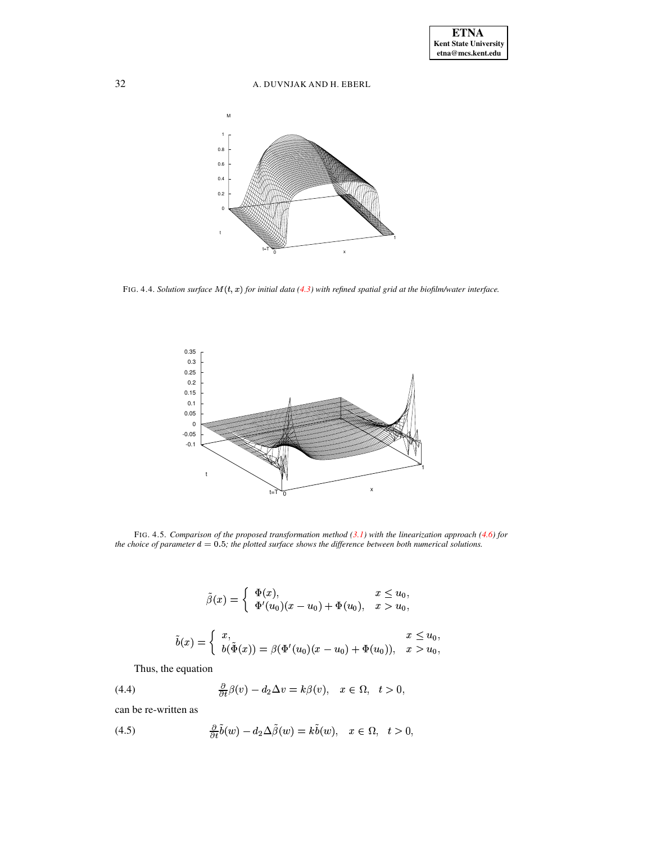

<span id="page-17-0"></span>FIG. 4.4. Solution surface  $M(t, x)$  for initial data (4.3) with refined spatial grid at the biofilm/water interface.



<span id="page-17-3"></span>FIG. 4.5. Comparison of the proposed transformation method  $(3.1)$  with the linearization approach  $(4.6)$  for the choice of parameter  $d = 0.5$ ; the plotted surface shows the difference between both numerical solutions.

$$
\tilde{\beta}(x) = \begin{cases}\n\Phi(x), & x \le u_0, \\
\Phi'(u_0)(x - u_0) + \Phi(u_0), & x > u_0,\n\end{cases}
$$
\n
$$
\tilde{b}(x) = \begin{cases}\nx, & x \le u_0, \\
b(\tilde{\Phi}(x)) = \beta(\Phi'(u_0)(x - u_0) + \Phi(u_0)), & x > u_0,\n\end{cases}
$$

Thus, the equation

<span id="page-17-2"></span>(4.4) 
$$
\frac{\partial}{\partial t}\beta(v) - d_2\Delta v = k\beta(v), \quad x \in \Omega, \quad t > 0,
$$

can be re-written as

<span id="page-17-1"></span>(4.5) 
$$
\frac{\partial}{\partial t}\tilde{b}(w) - d_2\Delta\tilde{\beta}(w) = k\tilde{b}(w), \quad x \in \Omega, \quad t > 0,
$$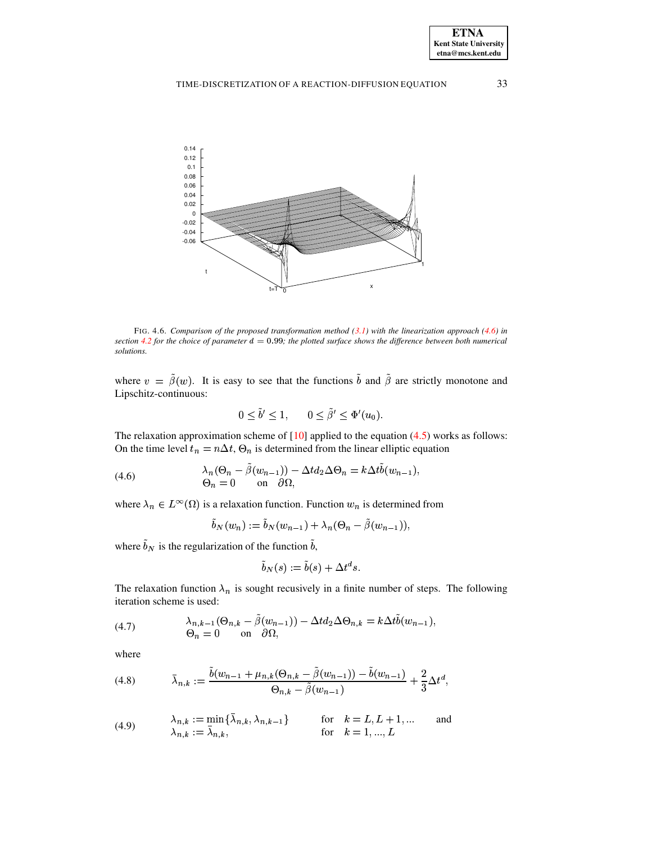

<span id="page-18-3"></span>FIG. 4.6. Comparison of the proposed transformation method  $(3.1)$  with the linearization approach  $(4.6)$  in section 4.2 for the choice of parameter  $d = 0.99$ ; the plotted surface shows the difference between both numerical solutions.

where  $v = \tilde{\beta}(w)$ . It is easy to see that the functions  $\tilde{b}$  and  $\tilde{\beta}$  are strictly monotone and Lipschitz-continuous:

$$
0 \le b' \le 1, \qquad 0 \le \beta' \le \Phi'(u_0).
$$

 $\overline{a}$ 

The relaxation approximation scheme of  $[10]$  applied to the equation  $(4.5)$  works as follows: On the time level  $t_n = n\Delta t$ ,  $\Theta_n$  is determined from the linear elliptic equation

<span id="page-18-0"></span>(4.6) 
$$
\lambda_n(\Theta_n - \tilde{\beta}(w_{n-1})) - \Delta t d_2 \Delta \Theta_n = k \Delta t \tilde{b}(w_{n-1}),
$$

$$
\Theta_n = 0 \quad \text{on} \quad \partial \Omega,
$$

where  $\lambda_n \in L^{\infty}(\Omega)$  is a relaxation function. Function  $w_n$  is determined from

$$
\tilde{b}_N(w_n) := \tilde{b}_N(w_{n-1}) + \lambda_n(\Theta_n - \tilde{\beta}(w_{n-1})),
$$

where  $\tilde{b}_N$  is the regularization of the function  $\tilde{b}$ ,

$$
\tilde{b}_N(s) := \tilde{b}(s) + \Delta t^d s.
$$

The relaxation function  $\lambda_n$  is sought recusively in a finite number of steps. The following iteration scheme is used:

(4.7) 
$$
\lambda_{n,k-1}(\Theta_{n,k}-\hat{\beta}(w_{n-1})) - \Delta td_2 \Delta \Theta_{n,k} = k \Delta t \hat{b}(w_{n-1}),
$$

$$
\Theta_n = 0 \quad \text{on} \quad \partial \Omega,
$$

where

<span id="page-18-1"></span>
$$
(4.8) \qquad \bar{\lambda}_{n,k} := \frac{b(w_{n-1} + \mu_{n,k}(\Theta_{n,k} - \beta(w_{n-1})) - b(w_{n-1})}{\Theta_{n,k} - \tilde{\beta}(w_{n-1})} + \frac{2}{3}\Delta t^d,
$$

<span id="page-18-2"></span>(4.9) 
$$
\lambda_{n,k} := \min\{\lambda_{n,k}, \lambda_{n,k-1}\} \quad \text{for} \quad k = L, L+1, ... \quad \text{and} \quad \lambda_{n,k} := \bar{\lambda}_{n,k}, \quad \text{for} \quad k = 1, ..., L
$$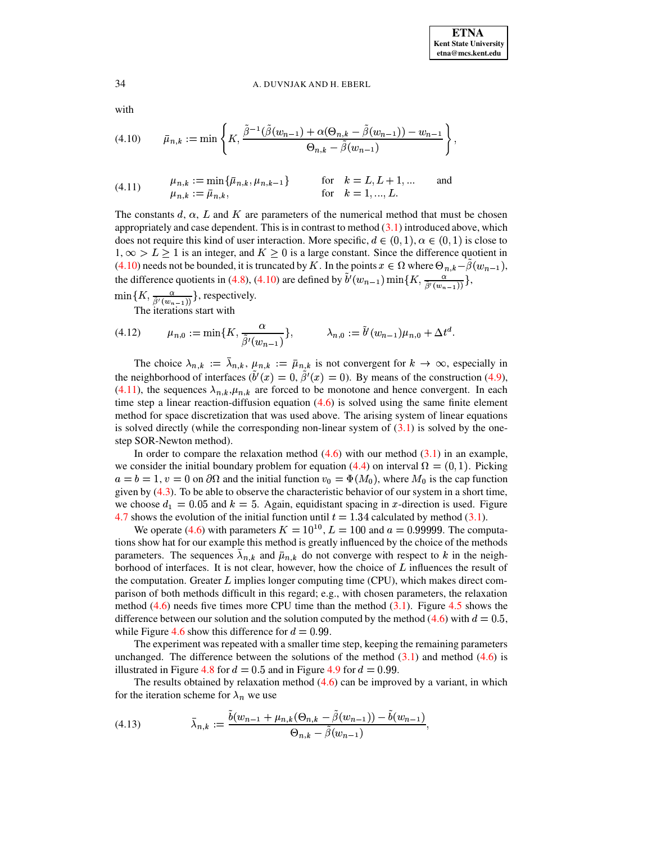with

<span id="page-19-0"></span>
$$
(4.10) \qquad \bar{\mu}_{n,k} := \min\left\{K, \frac{\tilde{\beta}^{-1}(\tilde{\beta}(w_{n-1}) + \alpha(\Theta_{n,k} - \tilde{\beta}(w_{n-1})) - w_{n-1})}{\Theta_{n,k} - \tilde{\beta}(w_{n-1})}\right\},
$$

<span id="page-19-1"></span>(4.11) 
$$
\mu_{n,k} := \min\{\bar{\mu}_{n,k}, \mu_{n,k-1}\} \quad \text{for} \quad k = L, L+1, ... \quad \text{and} \quad \mu_{n,k} := \bar{\mu}_{n,k}, \quad \text{for} \quad k = 1, ..., L.
$$

The constants  $d, \alpha, L$  and K are parameters of the numerical method that must be chosen appropriately and case dependent. This is in contrast to method  $(3.1)$  introduced above, which does not require this kind of user interaction. More specific,  $d \in (0,1)$ ,  $\alpha \in (0,1)$  is close to  $1, \infty > L \ge 1$  is an integer, and  $K \ge 0$  is a large constant. Since the difference quotient in (4.10) needs not be bounded, it is truncated by K. In the points  $x \in \Omega$  where  $\Theta_{n,k} - \beta(w_{n-1})$ , the difference quotients in (4.8), (4.10) are defined by  $\tilde{b}'(w_{n-1}) \min\{K, \frac{\alpha}{\tilde{b}'(w_{n-1})}\},$ 

 $\min\{K, \frac{\alpha}{\tilde{\beta}'(w_{n-1})}\}\$ , respectively. The iterations start with

(4.12) 
$$
\mu_{n,0} := \min\{K, \frac{\alpha}{\tilde{\beta}^t(w_{n-1})}\}, \qquad \lambda_{n,0} := \tilde{b}^t(w_{n-1})\mu_{n,0} + \Delta t^d.
$$

The choice  $\lambda_{n,k} := \lambda_{n,k}, \mu_{n,k} := \bar{\mu}_{n,k}$  is not convergent for  $k \to \infty$ , especially in the neighborhood of interfaces  $(\tilde{b}'(x) = 0, \tilde{\beta}'(x) = 0)$ . By means of the construction (4.9), (4.11), the sequences  $\lambda_{n,k}, \mu_{n,k}$  are forced to be monotone and hence convergent. In each time step a linear reaction-diffusion equation  $(4.6)$  is solved using the same finite element method for space discretization that was used above. The arising system of linear equations is solved directly (while the corresponding non-linear system of  $(3.1)$ ) is solved by the onestep SOR-Newton method).

In order to compare the relaxation method  $(4.6)$  with our method  $(3.1)$  in an example, we consider the initial boundary problem for equation (4.4) on interval  $\Omega = (0, 1)$ . Picking  $a = b = 1$ ,  $v = 0$  on  $\partial\Omega$  and the initial function  $v_0 = \Phi(M_0)$ , where  $M_0$  is the cap function given by  $(4.3)$ . To be able to observe the characteristic behavior of our system in a short time, we choose  $d_1 = 0.05$  and  $k = 5$ . Again, equidistant spacing in x-direction is used. Figure 4.7 shows the evolution of the initial function until  $t = 1.34$  calculated by method (3.1).

We operate (4.6) with parameters  $K = 10^{10}$ ,  $L = 100$  and  $a = 0.99999$ . The computations show hat for our example this method is greatly influenced by the choice of the methods parameters. The sequences  $\lambda_{n,k}$  and  $\bar{\mu}_{n,k}$  do not converge with respect to k in the neighborhood of interfaces. It is not clear, however, how the choice of  $L$  influences the result of the computation. Greater  $L$  implies longer computing time (CPU), which makes direct comparison of both methods difficult in this regard; e.g., with chosen parameters, the relaxation method  $(4.6)$  needs five times more CPU time than the method  $(3.1)$ . Figure 4.5 shows the difference between our solution and the solution computed by the method (4.6) with  $d = 0.5$ , while Figure 4.6 show this difference for  $d = 0.99$ .

The experiment was repeated with a smaller time step, keeping the remaining parameters unchanged. The difference between the solutions of the method  $(3.1)$  and method  $(4.6)$  is illustrated in Figure 4.8 for  $d = 0.5$  and in Figure 4.9 for  $d = 0.99$ .

The results obtained by relaxation method  $(4.6)$  can be improved by a variant, in which for the iteration scheme for  $\lambda_n$  we use

<span id="page-19-2"></span>(4.13) 
$$
\bar{\lambda}_{n,k} := \frac{\tilde{b}(w_{n-1} + \mu_{n,k}(\Theta_{n,k} - \tilde{\beta}(w_{n-1})) - \tilde{b}(w_{n-1})}{\Theta_{n,k} - \tilde{\beta}(w_{n-1})},
$$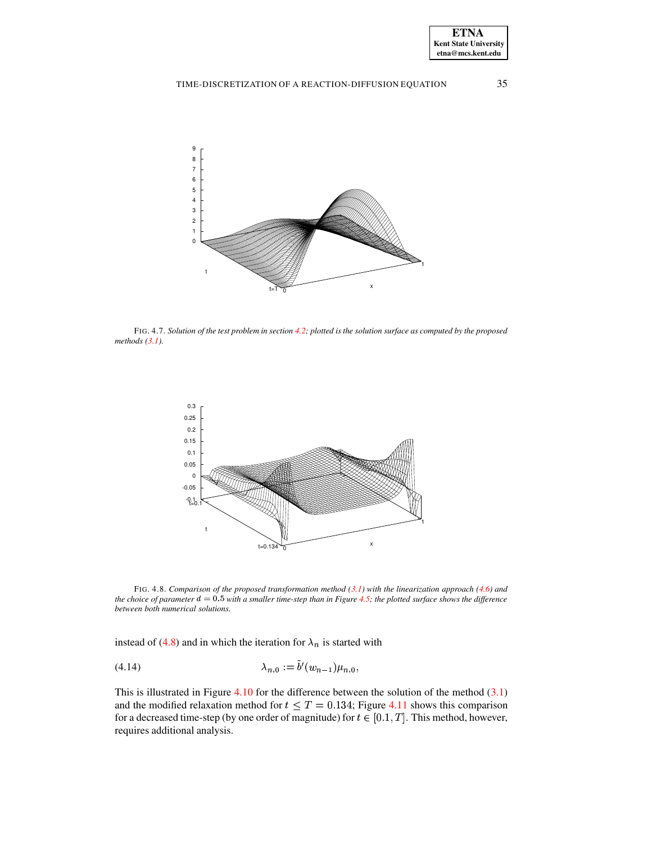

<span id="page-20-0"></span>FIG. 4.7. Solution of the test problem in section 4.2; plotted is the solution surface as computed by the proposed methods  $(3.1)$ .



<span id="page-20-1"></span>FIG. 4.8. Comparison of the proposed transformation method  $(3.1)$  with the linearization approach  $(4.6)$  and the choice of parameter  $d = 0.5$  with a smaller time-step than in Figure 4.5; the plotted surface shows the difference between both numerical solutions.

instead of (4.8) and in which the iteration for  $\lambda_n$  is started with

<span id="page-20-2"></span>
$$
(4.14) \qquad \lambda_{n,0} := b'(w_{n-1})\mu_{n,0},
$$

This is illustrated in Figure 4.10 for the difference between the solution of the method  $(3.1)$ and the modified relaxation method for  $t \leq T = 0.134$ ; Figure 4.11 shows this comparison for a decreased time-step (by one order of magnitude) for  $t \in [0.1, T]$ . This method, however, requires additional analysis.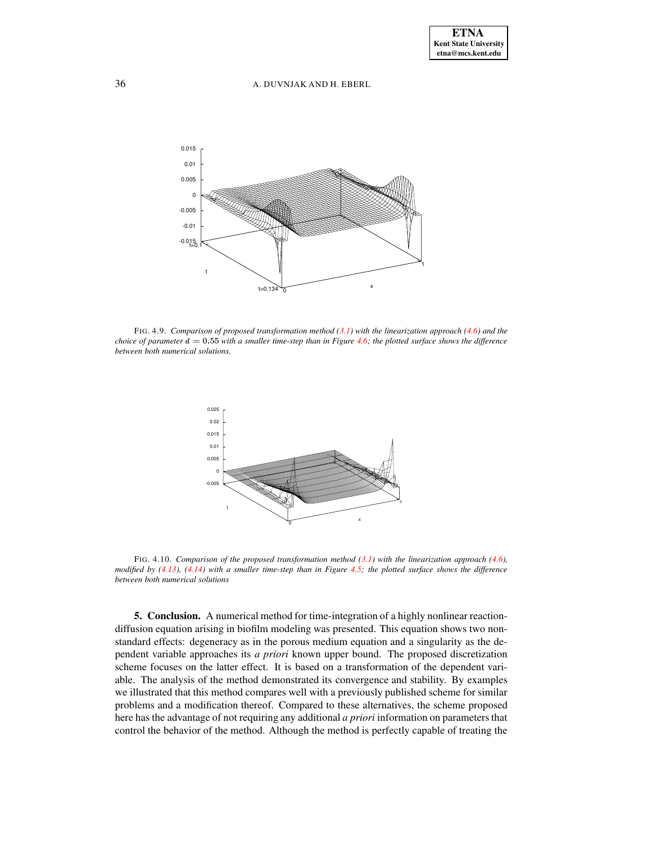

<span id="page-21-0"></span>FIG. 4.9. *Comparison of proposed transformation method [\(3.1\)](#page-6-1) with the linearization approach [\(4.6\)](#page-18-0) and the* choice of parameter  $d = 0.55$  with a smaller time-step than in Figure [4.6;](#page-18-3) the plotted surface shows the difference *between both numerical solutions.*



<span id="page-21-1"></span>FIG. 4.10. *Comparison of the proposed transformation method [\(3.1\)](#page-6-1) with the linearization approach [\(4.6\)](#page-18-0),* modified by  $(4.13)$ ,  $(4.14)$  with a smaller time-step than in Figure [4.5;](#page-17-3) the plotted surface shows the difference *between both numerical solutions*

**5. Conclusion.** A numerical method for time-integration of a highly nonlinear reactiondiffusion equation arising in biofilm modeling was presented. This equation shows two nonstandard effects: degeneracy as in the porous medium equation and a singularity as the dependent variable approaches its *a priori* known upper bound. The proposed discretization scheme focuses on the latter effect. It is based on a transformation of the dependent variable. The analysis of the method demonstrated its convergence and stability. By examples we illustrated that this method compares well with a previously published scheme for similar problems and a modification thereof. Compared to these alternatives, the scheme proposed here has the advantage of not requiring any additional *a priori* information on parameters that control the behavior of the method. Although the method is perfectly capable of treating the